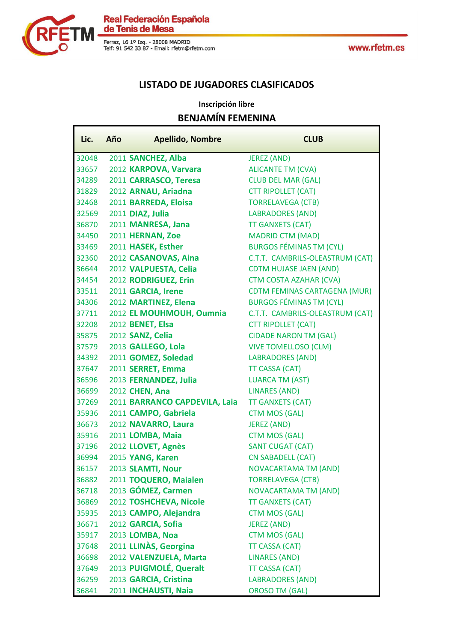

Г

Real Federación Española<br>de Tenis de Mesa

Ferraz, 16 1º Izq. - 28008 MADRID<br>Telf: 91 542 33 87 - Email: rfetm@rfetm.com

www.rfetm.es

ī

### **LISTADO DE JUGADORES CLASIFICADOS**

### **Inscripción libre BENJAMÍN FEMENINA**

| Lic.  | Año | <b>Apellido, Nombre</b>       | <b>CLUB</b>                         |
|-------|-----|-------------------------------|-------------------------------------|
| 32048 |     | 2011 SANCHEZ, Alba            | <b>JEREZ (AND)</b>                  |
| 33657 |     | 2012 KARPOVA, Varvara         | <b>ALICANTE TM (CVA)</b>            |
| 34289 |     | 2011 CARRASCO, Teresa         | <b>CLUB DEL MAR (GAL)</b>           |
| 31829 |     | 2012 ARNAU, Ariadna           | <b>CTT RIPOLLET (CAT)</b>           |
| 32468 |     | 2011 BARREDA, Eloisa          | <b>TORRELAVEGA (CTB)</b>            |
| 32569 |     | 2011 DIAZ, Julia              | <b>LABRADORES (AND)</b>             |
| 36870 |     | 2011 MANRESA, Jana            | <b>TT GANXETS (CAT)</b>             |
| 34450 |     | 2011 HERNAN, Zoe              | <b>MADRID CTM (MAD)</b>             |
| 33469 |     | 2011 HASEK, Esther            | <b>BURGOS FÉMINAS TM (CYL)</b>      |
| 32360 |     | 2012 CASANOVAS, Aina          | C.T.T. CAMBRILS-OLEASTRUM (CAT)     |
| 36644 |     | 2012 VALPUESTA, Celia         | <b>CDTM HUJASE JAEN (AND)</b>       |
| 34454 |     | 2012 RODRIGUEZ, Erin          | <b>CTM COSTA AZAHAR (CVA)</b>       |
| 33511 |     | 2011 GARCIA, Irene            | <b>CDTM FEMINAS CARTAGENA (MUR)</b> |
| 34306 |     | 2012 MARTINEZ, Elena          | <b>BURGOS FÉMINAS TM (CYL)</b>      |
| 37711 |     | 2012 EL MOUHMOUH, Oumnia      | C.T.T. CAMBRILS-OLEASTRUM (CAT)     |
| 32208 |     | 2012 BENET, Elsa              | <b>CTT RIPOLLET (CAT)</b>           |
| 35875 |     | 2012 SANZ, Celia              | <b>CIDADE NARON TM (GAL)</b>        |
| 37579 |     | 2013 GALLEGO, Lola            | <b>VIVE TOMELLOSO (CLM)</b>         |
| 34392 |     | 2011 GOMEZ, Soledad           | <b>LABRADORES (AND)</b>             |
| 37647 |     | 2011 SERRET, Emma             | <b>TT CASSA (CAT)</b>               |
| 36596 |     | 2013 FERNANDEZ, Julia         | <b>LUARCA TM (AST)</b>              |
| 36699 |     | 2012 CHEN, Ana                | <b>LINARES (AND)</b>                |
| 37269 |     | 2011 BARRANCO CAPDEVILA, Laia | <b>TT GANXETS (CAT)</b>             |
| 35936 |     | 2011 CAMPO, Gabriela          | <b>CTM MOS (GAL)</b>                |
| 36673 |     | 2012 NAVARRO, Laura           | <b>JEREZ (AND)</b>                  |
| 35916 |     | 2011 LOMBA, Maia              | <b>CTM MOS (GAL)</b>                |
| 37196 |     | 2012 LLOVET, Agnès            | <b>SANT CUGAT (CAT)</b>             |
| 36994 |     | 2015 YANG, Karen              | <b>CN SABADELL (CAT)</b>            |
| 36157 |     | 2013 SLAMTI, Nour             | <b>NOVACARTAMA TM (AND)</b>         |
| 36882 |     | 2011 TOQUERO, Maialen         | <b>TORRELAVEGA (CTB)</b>            |
| 36718 |     | 2013 GÓMEZ, Carmen            | <b>NOVACARTAMA TM (AND)</b>         |
| 36869 |     | 2012 TOSHCHEVA, Nicole        | <b>TT GANXETS (CAT)</b>             |
| 35935 |     | 2013 CAMPO, Alejandra         | <b>CTM MOS (GAL)</b>                |
| 36671 |     | 2012 GARCIA, Sofia            | <b>JEREZ (AND)</b>                  |
| 35917 |     | 2013 LOMBA, Noa               | <b>CTM MOS (GAL)</b>                |
| 37648 |     | 2011 LLINÀS, Georgina         | <b>TT CASSA (CAT)</b>               |
| 36698 |     | 2012 VALENZUELA, Marta        | <b>LINARES (AND)</b>                |
| 37649 |     | 2013 PUIGMOLÉ, Queralt        | TT CASSA (CAT)                      |
| 36259 |     | 2013 GARCIA, Cristina         | <b>LABRADORES (AND)</b>             |
| 36841 |     | 2011 INCHAUSTI, Naia          | <b>OROSO TM (GAL)</b>               |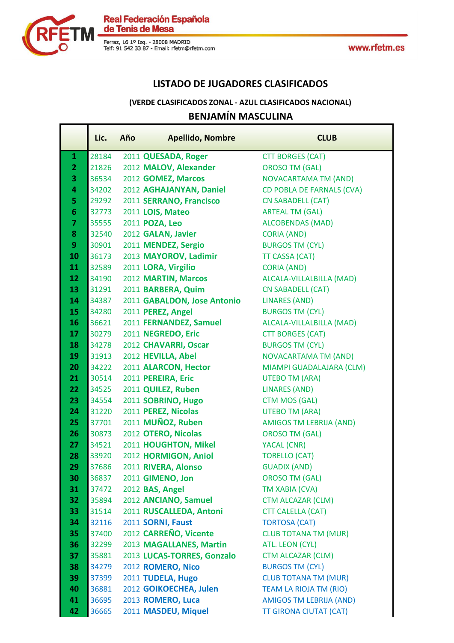

Ŧ.



Real Federación Española<br>de Tenis de Mesa

Ferraz, 16 1º Izq. - 28008 MADRID<br>Telf: 91 542 33 87 - Email: rfetm@rfetm.com

### **LISTADO DE JUGADORES CLASIFICADOS**

### **BENJAMÍN MASCULINA (VERDE CLASIFICADOS ZONAL - AZUL CLASIFICADOS NACIONAL)**

| 28184<br>2011 QUESADA, Roger<br><b>CTT BORGES (CAT)</b><br>$\mathbf{1}$<br>2012 MALOV, Alexander<br>$\overline{2}$<br>21826<br><b>OROSO TM (GAL)</b><br>3<br>36534<br>2012 GOMEZ, Marcos<br><b>NOVACARTAMA TM (AND)</b><br>4<br>2012 AGHAJANYAN, Daniel<br>34202<br><b>CD POBLA DE FARNALS (CVA)</b><br>5<br>2011 SERRANO, Francisco<br>29292<br><b>CN SABADELL (CAT)</b><br>$6\phantom{1}$<br>2011 LOIS, Mateo<br><b>ARTEAL TM (GAL)</b><br>32773<br>$\overline{7}$<br>35555<br>2011 POZA, Leo<br><b>ALCOBENDAS (MAD)</b><br>8<br>32540<br>2012 GALAN, Javier<br><b>CORIA (AND)</b><br>2011 MENDEZ, Sergio<br>9<br>30901<br><b>BURGOS TM (CYL)</b><br>10<br>2013 MAYOROV, Ladimir<br>36173<br>TT CASSA (CAT)<br>11<br>32589<br>2011 LORA, Virgilio<br><b>CORIA (AND)</b><br>12<br>2012 MARTIN, Marcos<br>ALCALA-VILLALBILLA (MAD)<br>34190<br>13<br>31291<br>2011 BARBERA, Quim<br><b>CN SABADELL (CAT)</b><br>14<br>2011 GABALDON, Jose Antonio<br><b>LINARES (AND)</b><br>34387<br>15<br>34280<br><b>BURGOS TM (CYL)</b><br>2011 PEREZ, Angel<br>16<br>36621<br>2011 FERNANDEZ, Samuel<br>ALCALA-VILLALBILLA (MAD)<br>2011 NEGREDO, Eric<br>17<br>30279<br><b>CTT BORGES (CAT)</b><br>18<br>2012 CHAVARRI, Oscar<br><b>BURGOS TM (CYL)</b><br>34278<br>19<br>2012 HEVILLA, Abel<br><b>NOVACARTAMA TM (AND)</b><br>31913<br>20<br>34222<br>2011 ALARCON, Hector<br>MIAMPI GUADALAJARA (CLM)<br>21<br>30514<br>2011 PEREIRA, Eric<br><b>UTEBO TM (ARA)</b><br>22<br>34525<br>2011 QUILEZ, Ruben<br><b>LINARES (AND)</b><br>23<br>2011 SOBRINO, Hugo<br><b>CTM MOS (GAL)</b><br>34554<br>2011 PEREZ, Nicolas<br><b>UTEBO TM (ARA)</b><br>24<br>31220<br>2011 MUÑOZ, Ruben<br>25<br>37701<br>AMIGOS TM LEBRIJA (AND)<br>2012 OTERO, Nicolas<br>26<br>30873<br><b>OROSO TM (GAL)</b><br>2011 HOUGHTON, Mikel<br>27<br>34521<br>YACAL (CNR)<br>2012 HORMIGON, Aniol<br>28<br>33920<br><b>TORELLO (CAT)</b><br>29<br>2011 RIVERA, Alonso<br>37686<br><b>GUADIX (AND)</b><br>30<br>36837<br>2011 GIMENO, Jon<br><b>OROSO TM (GAL)</b> | Lic. | Año | <b>Apellido, Nombre</b> | <b>CLUB</b> |
|----------------------------------------------------------------------------------------------------------------------------------------------------------------------------------------------------------------------------------------------------------------------------------------------------------------------------------------------------------------------------------------------------------------------------------------------------------------------------------------------------------------------------------------------------------------------------------------------------------------------------------------------------------------------------------------------------------------------------------------------------------------------------------------------------------------------------------------------------------------------------------------------------------------------------------------------------------------------------------------------------------------------------------------------------------------------------------------------------------------------------------------------------------------------------------------------------------------------------------------------------------------------------------------------------------------------------------------------------------------------------------------------------------------------------------------------------------------------------------------------------------------------------------------------------------------------------------------------------------------------------------------------------------------------------------------------------------------------------------------------------------------------------------------------------------------------------------------------------------------------------------------------------------------------------------------------------------------------------------------------------------------------------------|------|-----|-------------------------|-------------|
|                                                                                                                                                                                                                                                                                                                                                                                                                                                                                                                                                                                                                                                                                                                                                                                                                                                                                                                                                                                                                                                                                                                                                                                                                                                                                                                                                                                                                                                                                                                                                                                                                                                                                                                                                                                                                                                                                                                                                                                                                                  |      |     |                         |             |
|                                                                                                                                                                                                                                                                                                                                                                                                                                                                                                                                                                                                                                                                                                                                                                                                                                                                                                                                                                                                                                                                                                                                                                                                                                                                                                                                                                                                                                                                                                                                                                                                                                                                                                                                                                                                                                                                                                                                                                                                                                  |      |     |                         |             |
|                                                                                                                                                                                                                                                                                                                                                                                                                                                                                                                                                                                                                                                                                                                                                                                                                                                                                                                                                                                                                                                                                                                                                                                                                                                                                                                                                                                                                                                                                                                                                                                                                                                                                                                                                                                                                                                                                                                                                                                                                                  |      |     |                         |             |
|                                                                                                                                                                                                                                                                                                                                                                                                                                                                                                                                                                                                                                                                                                                                                                                                                                                                                                                                                                                                                                                                                                                                                                                                                                                                                                                                                                                                                                                                                                                                                                                                                                                                                                                                                                                                                                                                                                                                                                                                                                  |      |     |                         |             |
|                                                                                                                                                                                                                                                                                                                                                                                                                                                                                                                                                                                                                                                                                                                                                                                                                                                                                                                                                                                                                                                                                                                                                                                                                                                                                                                                                                                                                                                                                                                                                                                                                                                                                                                                                                                                                                                                                                                                                                                                                                  |      |     |                         |             |
|                                                                                                                                                                                                                                                                                                                                                                                                                                                                                                                                                                                                                                                                                                                                                                                                                                                                                                                                                                                                                                                                                                                                                                                                                                                                                                                                                                                                                                                                                                                                                                                                                                                                                                                                                                                                                                                                                                                                                                                                                                  |      |     |                         |             |
|                                                                                                                                                                                                                                                                                                                                                                                                                                                                                                                                                                                                                                                                                                                                                                                                                                                                                                                                                                                                                                                                                                                                                                                                                                                                                                                                                                                                                                                                                                                                                                                                                                                                                                                                                                                                                                                                                                                                                                                                                                  |      |     |                         |             |
|                                                                                                                                                                                                                                                                                                                                                                                                                                                                                                                                                                                                                                                                                                                                                                                                                                                                                                                                                                                                                                                                                                                                                                                                                                                                                                                                                                                                                                                                                                                                                                                                                                                                                                                                                                                                                                                                                                                                                                                                                                  |      |     |                         |             |
|                                                                                                                                                                                                                                                                                                                                                                                                                                                                                                                                                                                                                                                                                                                                                                                                                                                                                                                                                                                                                                                                                                                                                                                                                                                                                                                                                                                                                                                                                                                                                                                                                                                                                                                                                                                                                                                                                                                                                                                                                                  |      |     |                         |             |
|                                                                                                                                                                                                                                                                                                                                                                                                                                                                                                                                                                                                                                                                                                                                                                                                                                                                                                                                                                                                                                                                                                                                                                                                                                                                                                                                                                                                                                                                                                                                                                                                                                                                                                                                                                                                                                                                                                                                                                                                                                  |      |     |                         |             |
|                                                                                                                                                                                                                                                                                                                                                                                                                                                                                                                                                                                                                                                                                                                                                                                                                                                                                                                                                                                                                                                                                                                                                                                                                                                                                                                                                                                                                                                                                                                                                                                                                                                                                                                                                                                                                                                                                                                                                                                                                                  |      |     |                         |             |
|                                                                                                                                                                                                                                                                                                                                                                                                                                                                                                                                                                                                                                                                                                                                                                                                                                                                                                                                                                                                                                                                                                                                                                                                                                                                                                                                                                                                                                                                                                                                                                                                                                                                                                                                                                                                                                                                                                                                                                                                                                  |      |     |                         |             |
|                                                                                                                                                                                                                                                                                                                                                                                                                                                                                                                                                                                                                                                                                                                                                                                                                                                                                                                                                                                                                                                                                                                                                                                                                                                                                                                                                                                                                                                                                                                                                                                                                                                                                                                                                                                                                                                                                                                                                                                                                                  |      |     |                         |             |
|                                                                                                                                                                                                                                                                                                                                                                                                                                                                                                                                                                                                                                                                                                                                                                                                                                                                                                                                                                                                                                                                                                                                                                                                                                                                                                                                                                                                                                                                                                                                                                                                                                                                                                                                                                                                                                                                                                                                                                                                                                  |      |     |                         |             |
|                                                                                                                                                                                                                                                                                                                                                                                                                                                                                                                                                                                                                                                                                                                                                                                                                                                                                                                                                                                                                                                                                                                                                                                                                                                                                                                                                                                                                                                                                                                                                                                                                                                                                                                                                                                                                                                                                                                                                                                                                                  |      |     |                         |             |
|                                                                                                                                                                                                                                                                                                                                                                                                                                                                                                                                                                                                                                                                                                                                                                                                                                                                                                                                                                                                                                                                                                                                                                                                                                                                                                                                                                                                                                                                                                                                                                                                                                                                                                                                                                                                                                                                                                                                                                                                                                  |      |     |                         |             |
|                                                                                                                                                                                                                                                                                                                                                                                                                                                                                                                                                                                                                                                                                                                                                                                                                                                                                                                                                                                                                                                                                                                                                                                                                                                                                                                                                                                                                                                                                                                                                                                                                                                                                                                                                                                                                                                                                                                                                                                                                                  |      |     |                         |             |
|                                                                                                                                                                                                                                                                                                                                                                                                                                                                                                                                                                                                                                                                                                                                                                                                                                                                                                                                                                                                                                                                                                                                                                                                                                                                                                                                                                                                                                                                                                                                                                                                                                                                                                                                                                                                                                                                                                                                                                                                                                  |      |     |                         |             |
|                                                                                                                                                                                                                                                                                                                                                                                                                                                                                                                                                                                                                                                                                                                                                                                                                                                                                                                                                                                                                                                                                                                                                                                                                                                                                                                                                                                                                                                                                                                                                                                                                                                                                                                                                                                                                                                                                                                                                                                                                                  |      |     |                         |             |
|                                                                                                                                                                                                                                                                                                                                                                                                                                                                                                                                                                                                                                                                                                                                                                                                                                                                                                                                                                                                                                                                                                                                                                                                                                                                                                                                                                                                                                                                                                                                                                                                                                                                                                                                                                                                                                                                                                                                                                                                                                  |      |     |                         |             |
|                                                                                                                                                                                                                                                                                                                                                                                                                                                                                                                                                                                                                                                                                                                                                                                                                                                                                                                                                                                                                                                                                                                                                                                                                                                                                                                                                                                                                                                                                                                                                                                                                                                                                                                                                                                                                                                                                                                                                                                                                                  |      |     |                         |             |
|                                                                                                                                                                                                                                                                                                                                                                                                                                                                                                                                                                                                                                                                                                                                                                                                                                                                                                                                                                                                                                                                                                                                                                                                                                                                                                                                                                                                                                                                                                                                                                                                                                                                                                                                                                                                                                                                                                                                                                                                                                  |      |     |                         |             |
|                                                                                                                                                                                                                                                                                                                                                                                                                                                                                                                                                                                                                                                                                                                                                                                                                                                                                                                                                                                                                                                                                                                                                                                                                                                                                                                                                                                                                                                                                                                                                                                                                                                                                                                                                                                                                                                                                                                                                                                                                                  |      |     |                         |             |
|                                                                                                                                                                                                                                                                                                                                                                                                                                                                                                                                                                                                                                                                                                                                                                                                                                                                                                                                                                                                                                                                                                                                                                                                                                                                                                                                                                                                                                                                                                                                                                                                                                                                                                                                                                                                                                                                                                                                                                                                                                  |      |     |                         |             |
|                                                                                                                                                                                                                                                                                                                                                                                                                                                                                                                                                                                                                                                                                                                                                                                                                                                                                                                                                                                                                                                                                                                                                                                                                                                                                                                                                                                                                                                                                                                                                                                                                                                                                                                                                                                                                                                                                                                                                                                                                                  |      |     |                         |             |
|                                                                                                                                                                                                                                                                                                                                                                                                                                                                                                                                                                                                                                                                                                                                                                                                                                                                                                                                                                                                                                                                                                                                                                                                                                                                                                                                                                                                                                                                                                                                                                                                                                                                                                                                                                                                                                                                                                                                                                                                                                  |      |     |                         |             |
|                                                                                                                                                                                                                                                                                                                                                                                                                                                                                                                                                                                                                                                                                                                                                                                                                                                                                                                                                                                                                                                                                                                                                                                                                                                                                                                                                                                                                                                                                                                                                                                                                                                                                                                                                                                                                                                                                                                                                                                                                                  |      |     |                         |             |
|                                                                                                                                                                                                                                                                                                                                                                                                                                                                                                                                                                                                                                                                                                                                                                                                                                                                                                                                                                                                                                                                                                                                                                                                                                                                                                                                                                                                                                                                                                                                                                                                                                                                                                                                                                                                                                                                                                                                                                                                                                  |      |     |                         |             |
|                                                                                                                                                                                                                                                                                                                                                                                                                                                                                                                                                                                                                                                                                                                                                                                                                                                                                                                                                                                                                                                                                                                                                                                                                                                                                                                                                                                                                                                                                                                                                                                                                                                                                                                                                                                                                                                                                                                                                                                                                                  |      |     |                         |             |
|                                                                                                                                                                                                                                                                                                                                                                                                                                                                                                                                                                                                                                                                                                                                                                                                                                                                                                                                                                                                                                                                                                                                                                                                                                                                                                                                                                                                                                                                                                                                                                                                                                                                                                                                                                                                                                                                                                                                                                                                                                  |      |     |                         |             |
| 31<br>2012 BAS, Angel<br>37472<br>TM XABIA (CVA)                                                                                                                                                                                                                                                                                                                                                                                                                                                                                                                                                                                                                                                                                                                                                                                                                                                                                                                                                                                                                                                                                                                                                                                                                                                                                                                                                                                                                                                                                                                                                                                                                                                                                                                                                                                                                                                                                                                                                                                 |      |     |                         |             |
| 32<br>2012 ANCIANO, Samuel<br><b>CTM ALCAZAR (CLM)</b><br>35894                                                                                                                                                                                                                                                                                                                                                                                                                                                                                                                                                                                                                                                                                                                                                                                                                                                                                                                                                                                                                                                                                                                                                                                                                                                                                                                                                                                                                                                                                                                                                                                                                                                                                                                                                                                                                                                                                                                                                                  |      |     |                         |             |
| 33<br>31514<br>2011 RUSCALLEDA, Antoni<br><b>CTT CALELLA (CAT)</b>                                                                                                                                                                                                                                                                                                                                                                                                                                                                                                                                                                                                                                                                                                                                                                                                                                                                                                                                                                                                                                                                                                                                                                                                                                                                                                                                                                                                                                                                                                                                                                                                                                                                                                                                                                                                                                                                                                                                                               |      |     |                         |             |
| 34<br>2011 SORNI, Faust<br>32116<br><b>TORTOSA (CAT)</b>                                                                                                                                                                                                                                                                                                                                                                                                                                                                                                                                                                                                                                                                                                                                                                                                                                                                                                                                                                                                                                                                                                                                                                                                                                                                                                                                                                                                                                                                                                                                                                                                                                                                                                                                                                                                                                                                                                                                                                         |      |     |                         |             |
| 2012 CARREÑO, Vicente<br>35<br>37400<br><b>CLUB TOTANA TM (MUR)</b>                                                                                                                                                                                                                                                                                                                                                                                                                                                                                                                                                                                                                                                                                                                                                                                                                                                                                                                                                                                                                                                                                                                                                                                                                                                                                                                                                                                                                                                                                                                                                                                                                                                                                                                                                                                                                                                                                                                                                              |      |     |                         |             |
| 36<br>2013 MAGALLANES, Martin<br>32299<br>ATL. LEON (CYL)<br>37                                                                                                                                                                                                                                                                                                                                                                                                                                                                                                                                                                                                                                                                                                                                                                                                                                                                                                                                                                                                                                                                                                                                                                                                                                                                                                                                                                                                                                                                                                                                                                                                                                                                                                                                                                                                                                                                                                                                                                  |      |     |                         |             |
| 2013 LUCAS-TORRES, Gonzalo<br><b>CTM ALCAZAR (CLM)</b><br>35881<br>38<br><b>BURGOS TM (CYL)</b><br>34279                                                                                                                                                                                                                                                                                                                                                                                                                                                                                                                                                                                                                                                                                                                                                                                                                                                                                                                                                                                                                                                                                                                                                                                                                                                                                                                                                                                                                                                                                                                                                                                                                                                                                                                                                                                                                                                                                                                         |      |     |                         |             |
| 2012 ROMERO, Nico<br>2011 TUDELA, Hugo<br><b>CLUB TOTANA TM (MUR)</b><br>39<br>37399                                                                                                                                                                                                                                                                                                                                                                                                                                                                                                                                                                                                                                                                                                                                                                                                                                                                                                                                                                                                                                                                                                                                                                                                                                                                                                                                                                                                                                                                                                                                                                                                                                                                                                                                                                                                                                                                                                                                             |      |     |                         |             |
| 40<br>2012 GOIKOECHEA, Julen<br><b>TEAM LA RIOJA TM (RIO)</b><br>36881                                                                                                                                                                                                                                                                                                                                                                                                                                                                                                                                                                                                                                                                                                                                                                                                                                                                                                                                                                                                                                                                                                                                                                                                                                                                                                                                                                                                                                                                                                                                                                                                                                                                                                                                                                                                                                                                                                                                                           |      |     |                         |             |
| 41<br>36695<br>2013 ROMERO, Luca<br><b>AMIGOS TM LEBRIJA (AND)</b>                                                                                                                                                                                                                                                                                                                                                                                                                                                                                                                                                                                                                                                                                                                                                                                                                                                                                                                                                                                                                                                                                                                                                                                                                                                                                                                                                                                                                                                                                                                                                                                                                                                                                                                                                                                                                                                                                                                                                               |      |     |                         |             |
| 2011 MASDEU, Miquel<br>42<br>36665<br><b>TT GIRONA CIUTAT (CAT)</b>                                                                                                                                                                                                                                                                                                                                                                                                                                                                                                                                                                                                                                                                                                                                                                                                                                                                                                                                                                                                                                                                                                                                                                                                                                                                                                                                                                                                                                                                                                                                                                                                                                                                                                                                                                                                                                                                                                                                                              |      |     |                         |             |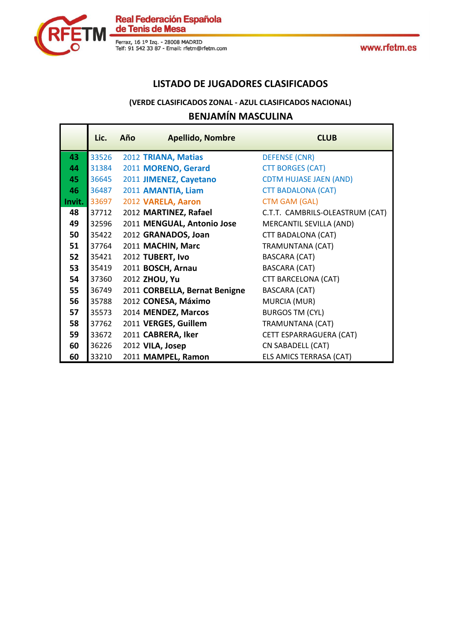



### **LISTADO DE JUGADORES CLASIFICADOS**

### **BENJAMÍN MASCULINA (VERDE CLASIFICADOS ZONAL - AZUL CLASIFICADOS NACIONAL)**

|        | Lic.  | Año | <b>Apellido, Nombre</b>       | <b>CLUB</b>                     |
|--------|-------|-----|-------------------------------|---------------------------------|
| 43     | 33526 |     | 2012 TRIANA, Matias           | <b>DEFENSE (CNR)</b>            |
| 44     | 31384 |     | 2011 MORENO, Gerard           | <b>CTT BORGES (CAT)</b>         |
| 45     | 36645 |     | 2011 JIMENEZ, Cayetano        | <b>CDTM HUJASE JAEN (AND)</b>   |
| 46     | 36487 |     | 2011 AMANTIA, Liam            | <b>CTT BADALONA (CAT)</b>       |
| Invit. | 33697 |     | 2012 VARELA, Aaron            | <b>CTM GAM (GAL)</b>            |
| 48     | 37712 |     | 2012 MARTINEZ, Rafael         | C.T.T. CAMBRILS-OLEASTRUM (CAT) |
| 49     | 32596 |     | 2011 MENGUAL, Antonio Jose    | MERCANTIL SEVILLA (AND)         |
| 50     | 35422 |     | 2012 GRANADOS, Joan           | <b>CTT BADALONA (CAT)</b>       |
| 51     | 37764 |     | 2011 MACHIN, Marc             | <b>TRAMUNTANA (CAT)</b>         |
| 52     | 35421 |     | 2012 TUBERT, Ivo              | <b>BASCARA (CAT)</b>            |
| 53     | 35419 |     | 2011 BOSCH, Arnau             | <b>BASCARA (CAT)</b>            |
| 54     | 37360 |     | 2012 ZHOU, Yu                 | <b>CTT BARCELONA (CAT)</b>      |
| 55     | 36749 |     | 2011 CORBELLA, Bernat Benigne | <b>BASCARA (CAT)</b>            |
| 56     | 35788 |     | 2012 CONESA, Máximo           | MURCIA (MUR)                    |
| 57     | 35573 |     | 2014 MENDEZ, Marcos           | <b>BURGOS TM (CYL)</b>          |
| 58     | 37762 |     | 2011 VERGES, Guillem          | <b>TRAMUNTANA (CAT)</b>         |
| 59     | 33672 |     | 2011 CABRERA, Iker            | CETT ESPARRAGUERA (CAT)         |
| 60     | 36226 |     | 2012 VILA, Josep              | CN SABADELL (CAT)               |
| 60     | 33210 |     | 2011 MAMPEL, Ramon            | ELS AMICS TERRASA (CAT)         |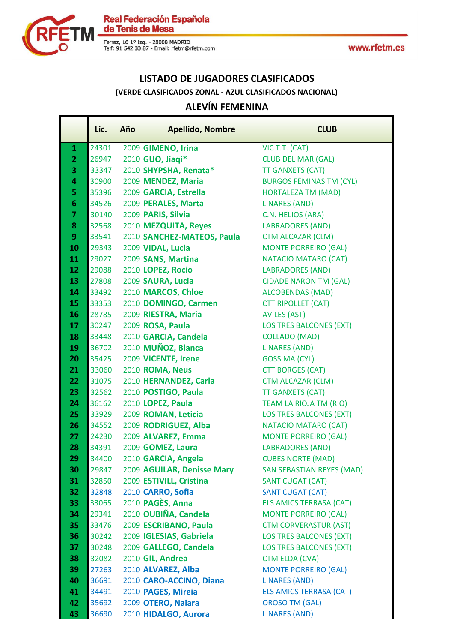

Real Federación Española<br>de Tenis de Mesa

Ferraz, 16 1º Izq. - 28008 MADRID<br>Telf: 91 542 33 87 - Email: rfetm@rfetm.com

## **LISTADO DE JUGADORES CLASIFICADOS (VERDE CLASIFICADOS ZONAL - AZUL CLASIFICADOS NACIONAL)**

## **ALEVÍN FEMENINA**

|                | Lic.           | Año | <b>Apellido, Nombre</b>                   | <b>CLUB</b>                                            |
|----------------|----------------|-----|-------------------------------------------|--------------------------------------------------------|
| $\mathbf{1}$   | 24301          |     | 2009 GIMENO, Irina                        | VIC T.T. (CAT)                                         |
| $\overline{2}$ | 26947          |     | 2010 GUO, Jiaqi*                          | <b>CLUB DEL MAR (GAL)</b>                              |
| 3              | 33347          |     | 2010 SHYPSHA, Renata*                     | <b>TT GANXETS (CAT)</b>                                |
| 4              | 30900          |     | 2009 MENDEZ, Maria                        | <b>BURGOS FÉMINAS TM (CYL)</b>                         |
| 5              | 35396          |     | 2009 GARCIA, Estrella                     | <b>HORTALEZA TM (MAD)</b>                              |
| $6\phantom{1}$ | 34526          |     | 2009 PERALES, Marta                       | <b>LINARES (AND)</b>                                   |
| $\overline{7}$ | 30140          |     | 2009 PARIS, Silvia                        | C.N. HELIOS (ARA)                                      |
| 8              | 32568          |     | 2010 MEZQUITA, Reyes                      | <b>LABRADORES (AND)</b>                                |
| 9              | 33541          |     | 2010 SANCHEZ-MATEOS, Paula                | <b>CTM ALCAZAR (CLM)</b>                               |
| 10             | 29343          |     | 2009 VIDAL, Lucia                         | <b>MONTE PORREIRO (GAL)</b>                            |
| 11             | 29027          |     | 2009 SANS, Martina                        | <b>NATACIO MATARO (CAT)</b>                            |
| 12             | 29088          |     | 2010 LOPEZ, Rocio                         | <b>LABRADORES (AND)</b>                                |
| 13             | 27808          |     | 2009 SAURA, Lucia                         | <b>CIDADE NARON TM (GAL)</b>                           |
| 14             | 33492          |     | 2010 MARCOS, Chloe                        | <b>ALCOBENDAS (MAD)</b>                                |
| 15             | 33353          |     | 2010 DOMINGO, Carmen                      | <b>CTT RIPOLLET (CAT)</b>                              |
| 16             | 28785          |     | 2009 RIESTRA, Maria                       | <b>AVILES (AST)</b>                                    |
| 17             | 30247          |     | 2009 ROSA, Paula                          | <b>LOS TRES BALCONES (EXT)</b>                         |
| 18             | 33448          |     | 2010 GARCIA, Candela                      | <b>COLLADO (MAD)</b>                                   |
| 19             | 36702          |     | 2010 MUÑOZ, Blanca                        | <b>LINARES (AND)</b>                                   |
| 20             | 35425          |     | 2009 VICENTE, Irene                       | <b>GOSSIMA (CYL)</b>                                   |
| 21             | 33060          |     | 2010 ROMA, Neus                           | <b>CTT BORGES (CAT)</b>                                |
| 22             | 31075          |     | 2010 HERNANDEZ, Carla                     | <b>CTM ALCAZAR (CLM)</b>                               |
| 23             | 32562          |     | 2010 POSTIGO, Paula                       | <b>TT GANXETS (CAT)</b>                                |
| 24             | 36162          |     | 2010 LOPEZ, Paula                         | <b>TEAM LA RIOJA TM (RIO)</b>                          |
| 25             | 33929          |     | 2009 ROMAN, Leticia                       | <b>LOS TRES BALCONES (EXT)</b>                         |
| 26             | 34552          |     | 2009 RODRIGUEZ, Alba                      | NATACIO MATARO (CAT)                                   |
| 27             | 24230          |     | 2009 ALVAREZ, Emma                        | <b>MONTE PORREIRO (GAL)</b>                            |
| 28             | 34391          |     | 2009 GOMEZ, Laura                         | <b>LABRADORES (AND)</b>                                |
| 29             | 34400          |     | 2010 GARCIA, Angela                       | <b>CUBES NORTE (MAD)</b>                               |
| 30             | 29847          |     | 2009 AGUILAR, Denisse Mary                | <b>SAN SEBASTIAN REYES (MAD)</b>                       |
| 31             | 32850          |     | 2009 ESTIVILL, Cristina                   | <b>SANT CUGAT (CAT)</b>                                |
| 32             | 32848          |     | 2010 CARRO, Sofia                         | <b>SANT CUGAT (CAT)</b>                                |
| 33             | 33065          |     | 2010 PAGÈS, Anna                          | <b>ELS AMICS TERRASA (CAT)</b>                         |
| 34             | 29341          |     | 2010 OUBIÑA, Candela                      | <b>MONTE PORREIRO (GAL)</b>                            |
| 35             | 33476          |     | 2009 ESCRIBANO, Paula                     | <b>CTM CORVERASTUR (AST)</b>                           |
| 36             | 30242          |     | 2009 IGLESIAS, Gabriela                   | <b>LOS TRES BALCONES (EXT)</b>                         |
| 37             | 30248<br>32082 |     | 2009 GALLEGO, Candela<br>2010 GIL, Andrea | <b>LOS TRES BALCONES (EXT)</b>                         |
| 38             |                |     |                                           | CTM ELDA (CVA)                                         |
| 39<br>40       | 27263          |     | 2010 ALVAREZ, Alba                        | <b>MONTE PORREIRO (GAL)</b>                            |
| 41             | 36691<br>34491 |     | 2010 CARO-ACCINO, Diana                   | <b>LINARES (AND)</b><br><b>ELS AMICS TERRASA (CAT)</b> |
| 42             | 35692          |     | 2010 PAGES, Mireia<br>2009 OTERO, Naiara  | <b>OROSO TM (GAL)</b>                                  |
| 43             | 36690          |     | 2010 HIDALGO, Aurora                      | <b>LINARES (AND)</b>                                   |
|                |                |     |                                           |                                                        |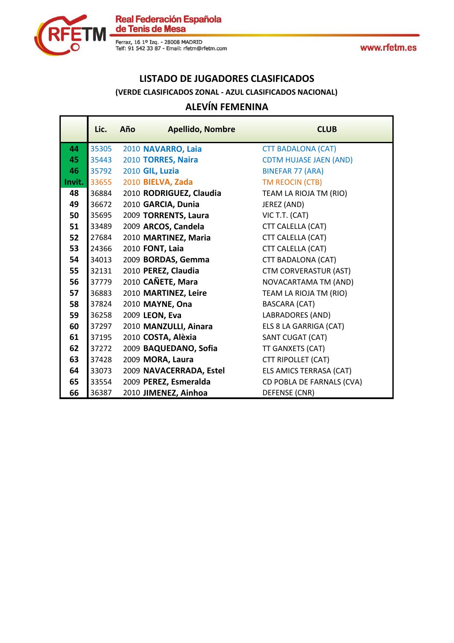



F

# **LISTADO DE JUGADORES CLASIFICADOS (VERDE CLASIFICADOS ZONAL - AZUL CLASIFICADOS NACIONAL)**

# **ALEVÍN FEMENINA**

|        | Lic.  | Año | <b>Apellido, Nombre</b> | <b>CLUB</b>                   |
|--------|-------|-----|-------------------------|-------------------------------|
| 44     | 35305 |     | 2010 NAVARRO, Laia      | <b>CTT BADALONA (CAT)</b>     |
| 45     | 35443 |     | 2010 TORRES, Naira      | <b>CDTM HUJASE JAEN (AND)</b> |
| 46     | 35792 |     | 2010 GIL, Luzia         | <b>BINEFAR 77 (ARA)</b>       |
| Invit. | 33655 |     | 2010 BIELVA, Zada       | TM REOCIN (CTB)               |
| 48     | 36884 |     | 2010 RODRIGUEZ, Claudia | TEAM LA RIOJA TM (RIO)        |
| 49     | 36672 |     | 2010 GARCIA, Dunia      | JEREZ (AND)                   |
| 50     | 35695 |     | 2009 TORRENTS, Laura    | VIC T.T. (CAT)                |
| 51     | 33489 |     | 2009 ARCOS, Candela     | CTT CALELLA (CAT)             |
| 52     | 27684 |     | 2010 MARTINEZ, Maria    | CTT CALELLA (CAT)             |
| 53     | 24366 |     | 2010 FONT, Laia         | CTT CALELLA (CAT)             |
| 54     | 34013 |     | 2009 BORDAS, Gemma      | <b>CTT BADALONA (CAT)</b>     |
| 55     | 32131 |     | 2010 PEREZ, Claudia     | <b>CTM CORVERASTUR (AST)</b>  |
| 56     | 37779 |     | 2010 CAÑETE, Mara       | NOVACARTAMA TM (AND)          |
| 57     | 36883 |     | 2010 MARTINEZ, Leire    | TEAM LA RIOJA TM (RIO)        |
| 58     | 37824 |     | 2010 MAYNE, Ona         | <b>BASCARA (CAT)</b>          |
| 59     | 36258 |     | 2009 LEON, Eva          | <b>LABRADORES (AND)</b>       |
| 60     | 37297 |     | 2010 MANZULLI, Ainara   | ELS 8 LA GARRIGA (CAT)        |
| 61     | 37195 |     | 2010 COSTA, Alèxia      | <b>SANT CUGAT (CAT)</b>       |
| 62     | 37272 |     | 2009 BAQUEDANO, Sofia   | TT GANXETS (CAT)              |
| 63     | 37428 |     | 2009 MORA, Laura        | CTT RIPOLLET (CAT)            |
| 64     | 33073 |     | 2009 NAVACERRADA, Estel | ELS AMICS TERRASA (CAT)       |
| 65     | 33554 |     | 2009 PEREZ, Esmeralda   | CD POBLA DE FARNALS (CVA)     |
| 66     | 36387 |     | 2010 JIMENEZ, Ainhoa    | DEFENSE (CNR)                 |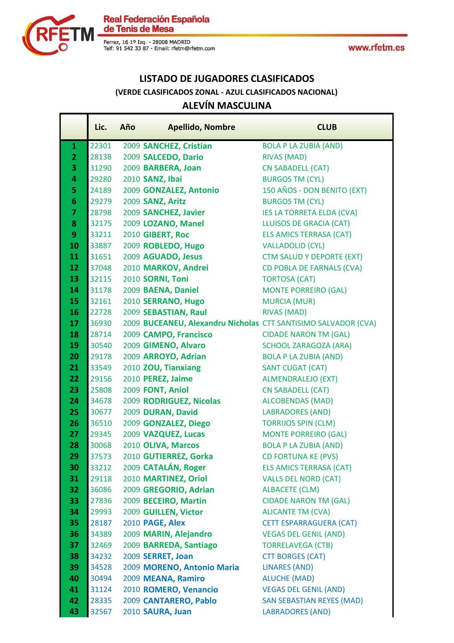

Real Federación Española<br>de Tenis de Mesa

Ferraz, 16 1º Izq. - 28008 MADRID<br>Telf: 91 542 33 87 - Email: rfetm@rfetm.com

## **LISTADO DE JUGADORES CLASIFICADOS (VERDE CLASIFICADOS ZONAL - AZUL CLASIFICADOS NACIONAL)**

## **ALEVÍN MASCULINA**

|                 | Lic.  | Año | <b>Apellido, Nombre</b>                                        | <b>CLUB</b>                      |
|-----------------|-------|-----|----------------------------------------------------------------|----------------------------------|
| $\mathbf{1}$    | 22301 |     | 2009 SANCHEZ, Cristian                                         | <b>BOLA P LA ZUBIA (AND)</b>     |
| $\overline{2}$  | 28138 |     | 2009 SALCEDO, Dario                                            | <b>RIVAS (MAD)</b>               |
| 3               | 31290 |     | 2009 BARBERA, Joan                                             | <b>CN SABADELL (CAT)</b>         |
| 4               | 29280 |     | 2010 SANZ, Ibai                                                | <b>BURGOS TM (CYL)</b>           |
| 5               | 24189 |     | 2009 GONZALEZ, Antonio                                         | 150 AÑOS - DON BENITO (EXT)      |
| $6\phantom{1}$  | 29279 |     | 2009 SANZ, Aritz                                               | <b>BURGOS TM (CYL)</b>           |
| $\overline{7}$  | 28798 |     | 2009 SANCHEZ, Javier                                           | <b>IES LA TORRETA ELDA (CVA)</b> |
| 8               | 32175 |     | 2009 LOZANO, Manel                                             | <b>LLUISOS DE GRACIA (CAT)</b>   |
| 9               | 33211 |     | 2010 GIBERT, Roc                                               | <b>ELS AMICS TERRASA (CAT)</b>   |
| 10              | 33887 |     | 2009 ROBLEDO, Hugo                                             | <b>VALLADOLID (CYL)</b>          |
| 11              | 31651 |     | 2009 AGUADO, Jesus                                             | <b>CTM SALUD Y DEPORTE (EXT)</b> |
| 12              | 37048 |     | 2010 MARKOV, Andrei                                            | CD POBLA DE FARNALS (CVA)        |
| 13              | 32115 |     | 2010 SORNI, Toni                                               | <b>TORTOSA (CAT)</b>             |
| 14              | 31178 |     | 2009 BAENA, Daniel                                             | <b>MONTE PORREIRO (GAL)</b>      |
| 15              | 32161 |     | 2010 SERRANO, Hugo                                             | <b>MURCIA (MUR)</b>              |
| 16              | 22728 |     | 2009 SEBASTIAN, Raul                                           | <b>RIVAS (MAD)</b>               |
| 17              | 36930 |     | 2009 BUCEANEU, Alexandru Nicholas CTT SANTISIMO SALVADOR (CVA) |                                  |
| 18              | 28714 |     | 2009 CAMPO, Francisco                                          | <b>CIDADE NARON TM (GAL)</b>     |
| 19              | 30540 |     | 2009 GIMENO, Alvaro                                            | <b>SCHOOL ZARAGOZA (ARA)</b>     |
| 20              | 29178 |     | 2009 ARROYO, Adrian                                            | <b>BOLA P LA ZUBIA (AND)</b>     |
| 21              | 33549 |     | 2010 ZOU, Tianxiang                                            | <b>SANT CUGAT (CAT)</b>          |
| 22 <sub>2</sub> | 29156 |     | 2010 PEREZ, Jaime                                              | <b>ALMENDRALEJO (EXT)</b>        |
| 23              | 25808 |     | 2009 FONT, Aniol                                               | <b>CN SABADELL (CAT)</b>         |
| 24              | 34678 |     | 2009 RODRIGUEZ, Nicolas                                        | <b>ALCOBENDAS (MAD)</b>          |
| 25              | 30677 |     | 2009 DURAN, David                                              | <b>LABRADORES (AND)</b>          |
| 26              | 36510 |     | 2009 GONZALEZ, Diego                                           | <b>TORRIJOS SPIN (CLM)</b>       |
| 27              | 29345 |     | 2009 VAZQUEZ, Lucas                                            | <b>MONTE PORREIRO (GAL)</b>      |
| 28              | 30068 |     | 2010 OLIVA, Marcos                                             | <b>BOLA P LA ZUBIA (AND)</b>     |
| 29              | 37573 |     | 2010 GUTIERREZ, Gorka                                          | <b>CD FORTUNA KE (PVS)</b>       |
| 30              | 33212 |     | 2009 CATALÁN, Roger                                            | <b>ELS AMICS TERRASA (CAT)</b>   |
| 31              | 29118 |     | 2010 MARTINEZ, Oriol                                           | <b>VALLS DEL NORD (CAT)</b>      |
| 32              | 36086 |     | 2009 GREGORIO, Adrian                                          | <b>ALBACETE (CLM)</b>            |
| 33              | 27836 |     | 2009 BECEIRO, Martin                                           | <b>CIDADE NARON TM (GAL)</b>     |
| 34              | 29993 |     | 2009 GUILLEN, Victor                                           | <b>ALICANTE TM (CVA)</b>         |
| 35              | 28187 |     | 2010 PAGE, Alex                                                | <b>CETT ESPARRAGUERA (CAT)</b>   |
| 36              | 34389 |     | 2009 MARIN, Alejandro                                          | <b>VEGAS DEL GENIL (AND)</b>     |
| 37              | 32469 |     | 2009 BARREDA, Santiago                                         | <b>TORRELAVEGA (CTB)</b>         |
| 38              | 34232 |     | 2009 SERRET, Joan                                              | <b>CTT BORGES (CAT)</b>          |
| 39              | 34528 |     | 2009 MORENO, Antonio Maria                                     | <b>LINARES (AND)</b>             |
| 40              | 30494 |     | 2009 MEANA, Ramiro                                             | <b>ALUCHE (MAD)</b>              |
| 41              | 31124 |     | 2010 ROMERO, Venancio                                          | <b>VEGAS DEL GENIL (AND)</b>     |
| 42              | 28335 |     | 2009 CANTARERO, Pablo                                          | <b>SAN SEBASTIAN REYES (MAD)</b> |
| 43              | 32567 |     | 2010 SAURA, Juan                                               | <b>LABRADORES (AND)</b>          |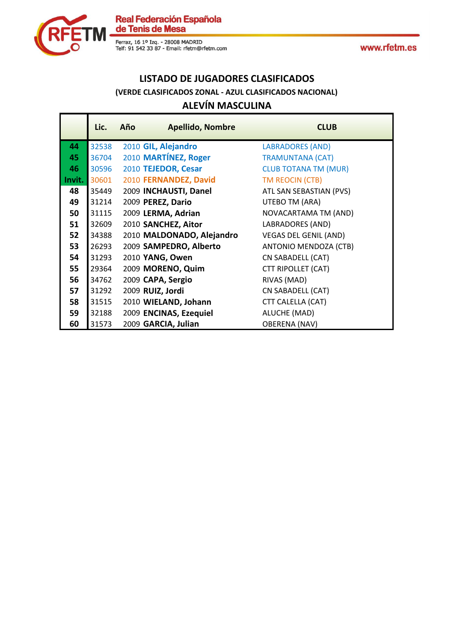



### **LISTADO DE JUGADORES CLASIFICADOS ALEVÍN MASCULINA (VERDE CLASIFICADOS ZONAL - AZUL CLASIFICADOS NACIONAL)**

|        | Lic.  | Año | <b>Apellido, Nombre</b>   | <b>CLUB</b>                  |
|--------|-------|-----|---------------------------|------------------------------|
| 44     | 32538 |     | 2010 GIL, Alejandro       | <b>LABRADORES (AND)</b>      |
| 45     | 36704 |     | 2010 MARTÍNEZ, Roger      | <b>TRAMUNTANA (CAT)</b>      |
| 46     | 30596 |     | 2010 TEJEDOR, Cesar       | <b>CLUB TOTANA TM (MUR)</b>  |
| Invit. | 30601 |     | 2010 FERNANDEZ, David     | TM REOCIN (CTB)              |
| 48     | 35449 |     | 2009 INCHAUSTI, Danel     | ATL SAN SEBASTIAN (PVS)      |
| 49     | 31214 |     | 2009 PEREZ, Dario         | UTEBO TM (ARA)               |
| 50     | 31115 |     | 2009 LERMA, Adrian        | NOVACARTAMA TM (AND)         |
| 51     | 32609 |     | 2010 SANCHEZ, Aitor       | <b>LABRADORES (AND)</b>      |
| 52     | 34388 |     | 2010 MALDONADO, Alejandro | <b>VEGAS DEL GENIL (AND)</b> |
| 53     | 26293 |     | 2009 SAMPEDRO, Alberto    | ANTONIO MENDOZA (CTB)        |
| 54     | 31293 |     | 2010 YANG, Owen           | CN SABADELL (CAT)            |
| 55     | 29364 |     | 2009 MORENO, Quim         | <b>CTT RIPOLLET (CAT)</b>    |
| 56     | 34762 |     | 2009 CAPA, Sergio         | RIVAS (MAD)                  |
| 57     | 31292 |     | 2009 RUIZ, Jordi          | CN SABADELL (CAT)            |
| 58     | 31515 |     | 2010 WIELAND, Johann      | CTT CALELLA (CAT)            |
| 59     | 32188 |     | 2009 ENCINAS, Ezequiel    | ALUCHE (MAD)                 |
| 60     | 31573 |     | 2009 GARCIA, Julian       | <b>OBERENA (NAV)</b>         |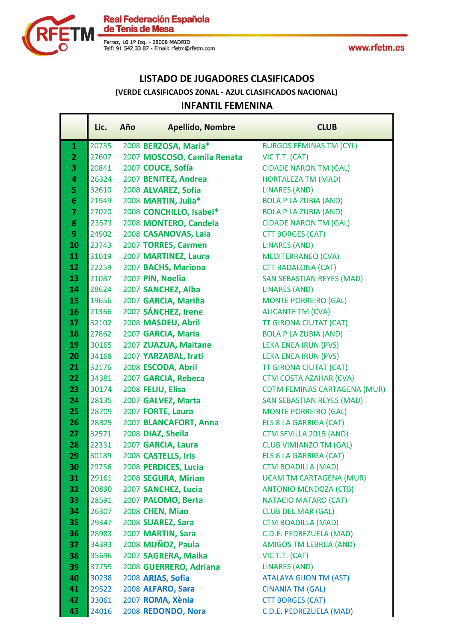

Real Federación Española<br>de Tenis de Mesa

Ferraz, 16 1º Izq. - 28008 MADRID<br>Telf: 91 542 33 87 - Email: rfetm@rfetm.com

### **LISTADO DE JUGADORES CLASIFICADOS INFANTIL FEMENINA (VERDE CLASIFICADOS ZONAL - AZUL CLASIFICADOS NACIONAL)**

|                | Lic.  | Año | <b>Apellido, Nombre</b>     | <b>CLUB</b>                         |
|----------------|-------|-----|-----------------------------|-------------------------------------|
| $\mathbf{1}$   | 20735 |     | 2008 BERZOSA, Maria*        | <b>BURGOS FÉMINAS TM (CYL)</b>      |
| $\overline{2}$ | 27607 |     | 2007 MOSCOSO, Camila Renata | VIC T.T. (CAT)                      |
| 3              | 20841 |     | 2007 COUCE, Sofía           | <b>CIDADE NARON TM (GAL)</b>        |
| 4              | 26324 |     | 2007 BENITEZ, Andrea        | <b>HORTALEZA TM (MAD)</b>           |
| 5              | 32610 |     | 2008 ALVAREZ, Sofia         | <b>LINARES (AND)</b>                |
| 6              | 21949 |     | 2008 MARTIN, Julia*         | <b>BOLA P LA ZUBIA (AND)</b>        |
| $\overline{7}$ | 27020 |     | 2008 CONCHILLO, Isabel*     | <b>BOLA P LA ZUBIA (AND)</b>        |
| 8              | 23573 |     | 2008 MONTERO, Candela       | <b>CIDADE NARON TM (GAL)</b>        |
| 9              | 24902 |     | 2008 CASANOVAS, Laia        | <b>CTT BORGES (CAT)</b>             |
| 10             | 23743 |     | 2007 TORRES, Carmen         | LINARES (AND)                       |
| 11             | 31019 |     | 2007 MARTINEZ, Laura        | <b>MEDITERRANEO (CVA)</b>           |
| 12             | 22259 |     | 2007 BACHS, Mariona         | <b>CTT BADALONA (CAT)</b>           |
| 13             | 21087 |     | 2007 PIN, Noelia            | <b>SAN SEBASTIAN REYES (MAD)</b>    |
| 14             | 28624 |     | 2007 SANCHEZ, Alba          | <b>LINARES (AND)</b>                |
| 15             | 19656 |     | 2007 GARCIA, Mariña         | <b>MONTE PORREIRO (GAL)</b>         |
| 16             | 21366 |     | 2007 SÁNCHEZ, Irene         | <b>ALICANTE TM (CVA)</b>            |
| 17             | 32102 |     | 2008 MASDEU, Abril          | <b>TT GIRONA CIUTAT (CAT)</b>       |
| 18             | 27862 |     | 2007 GARCIA, Maria          | <b>BOLA P LA ZUBIA (AND)</b>        |
| 19             | 30165 |     | 2007 ZUAZUA, Maitane        | <b>LEKA ENEA IRUN (PVS)</b>         |
| 20             | 34168 |     | 2007 YARZABAL, Irati        | LEKA ENEA IRUN (PVS)                |
| 21             | 32176 |     | 2008 ESCODA, Abril          | <b>TT GIRONA CIUTAT (CAT)</b>       |
| 22             | 34381 |     | 2007 GARCIA, Rebeca         | <b>CTM COSTA AZAHAR (CVA)</b>       |
| 23             | 30174 |     | 2008 FELIU, Elisa           | <b>CDTM FEMINAS CARTAGENA (MUR)</b> |
| 24             | 28135 |     | 2007 GALVEZ, Marta          | <b>SAN SEBASTIAN REYES (MAD)</b>    |
| 25             | 28709 |     | 2007 FORTE, Laura           | <b>MONTE PORREIRO (GAL)</b>         |
| 26             | 28825 |     | 2007 BLANCAFORT, Anna       | ELS 8 LA GARRIGA (CAT)              |
| 27             | 32571 |     | 2008 DIAZ, Sheila           | CTM SEVILLA 2015 (AND)              |
| 28             | 22331 |     | 2007 GARCIA, Laura          | <b>CLUB VIMIANZO TM (GAL)</b>       |
| 29             | 30189 |     | 2008 CASTELLS, Iris         | <b>ELS 8 LA GARRIGA (CAT)</b>       |
| 30             | 29756 |     | 2008 PERDICES, Lucia        | <b>CTM BOADILLA (MAD)</b>           |
| 31             | 29161 |     | 2008 SEGURA, Mirian         | <b>UCAM TM CARTAGENA (MUR)</b>      |
| 32             | 20890 |     | 2007 SANCHEZ, Lucia         | <b>ANTONIO MENDOZA (CTB)</b>        |
| 33             | 28591 |     | 2007 PALOMO, Berta          | NATACIO MATARO (CAT)                |
| 34             | 26307 |     | 2008 CHEN, Miao             | <b>CLUB DEL MAR (GAL)</b>           |
| 35             | 29347 |     | 2008 SUAREZ, Sara           | <b>CTM BOADILLA (MAD)</b>           |
| 36             | 28983 |     | 2007 MARTIN, Sara           | C.D.E. PEDREZUELA (MAD)             |
| 37             | 34393 |     | 2008 MUÑOZ, Paula           | <b>AMIGOS TM LEBRIJA (AND)</b>      |
| 38             | 35696 |     | 2007 SAGRERA, Maika         | VIC T.T. (CAT)                      |
| 39             | 37759 |     | 2008 GUERRERO, Adriana      | <b>LINARES (AND)</b>                |
| 40             | 30238 |     | 2008 ARIAS, Sofia           | <b>ATALAYA GIJON TM (AST)</b>       |
| 41             | 29522 |     | 2008 ALFARO, Sara           | <b>CINANIA TM (GAL)</b>             |
| 42             | 33061 |     | 2007 ROMA, Xènia            | <b>CTT BORGES (CAT)</b>             |
| 43             | 24016 |     | 2008 REDONDO, Nora          | C.D.E. PEDREZUELA (MAD)             |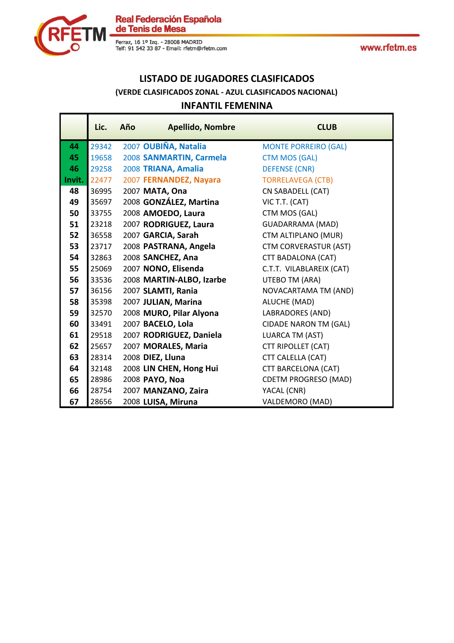



### **LISTADO DE JUGADORES CLASIFICADOS INFANTIL FEMENINA (VERDE CLASIFICADOS ZONAL - AZUL CLASIFICADOS NACIONAL)**

|        | Lic.  | Año | <b>Apellido, Nombre</b>  | <b>CLUB</b>                  |
|--------|-------|-----|--------------------------|------------------------------|
| 44     | 29342 |     | 2007 OUBIÑA, Natalia     | <b>MONTE PORREIRO (GAL)</b>  |
| 45     | 19658 |     | 2008 SANMARTIN, Carmela  | <b>CTM MOS (GAL)</b>         |
| 46     | 29258 |     | 2008 TRIANA, Amalia      | <b>DEFENSE (CNR)</b>         |
| Invit. | 22477 |     | 2007 FERNANDEZ, Nayara   | <b>TORRELAVEGA (CTB)</b>     |
| 48     | 36995 |     | 2007 MATA, Ona           | CN SABADELL (CAT)            |
| 49     | 35697 |     | 2008 GONZÁLEZ, Martina   | VIC T.T. (CAT)               |
| 50     | 33755 |     | 2008 AMOEDO, Laura       | CTM MOS (GAL)                |
| 51     | 23218 |     | 2007 RODRIGUEZ, Laura    | <b>GUADARRAMA (MAD)</b>      |
| 52     | 36558 |     | 2007 GARCIA, Sarah       | CTM ALTIPLANO (MUR)          |
| 53     | 23717 |     | 2008 PASTRANA, Angela    | <b>CTM CORVERASTUR (AST)</b> |
| 54     | 32863 |     | 2008 SANCHEZ, Ana        | CTT BADALONA (CAT)           |
| 55     | 25069 |     | 2007 NONO, Elisenda      | C.T.T. VILABLAREIX (CAT)     |
| 56     | 33536 |     | 2008 MARTIN-ALBO, Izarbe | UTEBO TM (ARA)               |
| 57     | 36156 |     | 2007 SLAMTI, Rania       | NOVACARTAMA TM (AND)         |
| 58     | 35398 |     | 2007 JULIAN, Marina      | ALUCHE (MAD)                 |
| 59     | 32570 |     | 2008 MURO, Pilar Alyona  | LABRADORES (AND)             |
| 60     | 33491 |     | 2007 BACELO, Lola        | <b>CIDADE NARON TM (GAL)</b> |
| 61     | 29518 |     | 2007 RODRIGUEZ, Daniela  | LUARCA TM (AST)              |
| 62     | 25657 |     | 2007 MORALES, Maria      | <b>CTT RIPOLLET (CAT)</b>    |
| 63     | 28314 |     | 2008 DIEZ, Lluna         | CTT CALELLA (CAT)            |
| 64     | 32148 |     | 2008 LIN CHEN, Hong Hui  | CTT BARCELONA (CAT)          |
| 65     | 28986 |     | 2008 PAYO, Noa           | <b>CDETM PROGRESO (MAD)</b>  |
| 66     | 28754 |     | 2007 MANZANO, Zaira      | YACAL (CNR)                  |
| 67     | 28656 |     | 2008 LUISA, Miruna       | VALDEMORO (MAD)              |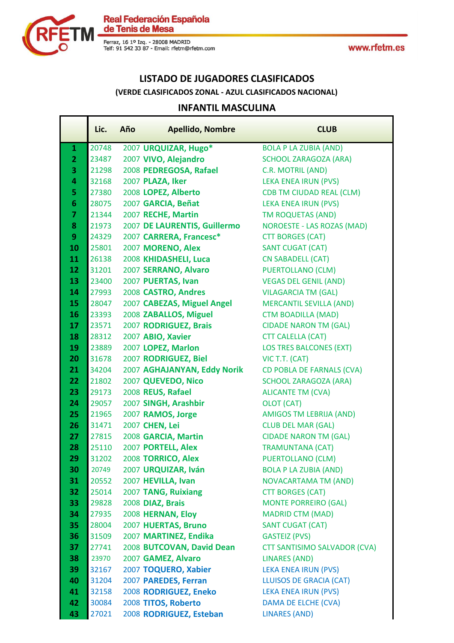



Ferraz, 16 1º Izq. - 28008 MADRID<br>Telf: 91 542 33 87 - Email: rfetm@rfetm.com

### **LISTADO DE JUGADORES CLASIFICADOS**

**(VERDE CLASIFICADOS ZONAL - AZUL CLASIFICADOS NACIONAL)**

#### **INFANTIL MASCULINA**

|                            | Lic.                                      | Año | <b>Apellido, Nombre</b>                                                                                                 | <b>CLUB</b>                                                                                                                                 |
|----------------------------|-------------------------------------------|-----|-------------------------------------------------------------------------------------------------------------------------|---------------------------------------------------------------------------------------------------------------------------------------------|
| $\mathbf{1}$               | 20748                                     |     | 2007 URQUIZAR, Hugo*                                                                                                    | <b>BOLA P LA ZUBIA (AND)</b>                                                                                                                |
| $\overline{2}$             | 23487                                     |     | 2007 VIVO, Alejandro                                                                                                    | <b>SCHOOL ZARAGOZA (ARA)</b>                                                                                                                |
| 3                          | 21298                                     |     | 2008 PEDREGOSA, Rafael                                                                                                  | C.R. MOTRIL (AND)                                                                                                                           |
| 4                          | 32168                                     |     | 2007 PLAZA, Iker                                                                                                        | <b>LEKA ENEA IRUN (PVS)</b>                                                                                                                 |
| 5                          | 27380                                     |     | 2008 LOPEZ, Alberto                                                                                                     | <b>CDB TM CIUDAD REAL (CLM)</b>                                                                                                             |
| $6\phantom{1}$             | 28075                                     |     | 2007 GARCIA, Beñat                                                                                                      | <b>LEKA ENEA IRUN (PVS)</b>                                                                                                                 |
| $\overline{\mathbf{z}}$    | 21344                                     |     | 2007 RECHE, Martin                                                                                                      | TM ROQUETAS (AND)                                                                                                                           |
| 8                          | 21973                                     |     | 2007 DE LAURENTIS, Guillermo                                                                                            | <b>NOROESTE - LAS ROZAS (MAD)</b>                                                                                                           |
| 9                          | 24329                                     |     | 2007 CARRERA, Francesc*                                                                                                 | <b>CTT BORGES (CAT)</b>                                                                                                                     |
| 10                         | 25801                                     |     | 2007 MORENO, Alex                                                                                                       | <b>SANT CUGAT (CAT)</b>                                                                                                                     |
| 11                         | 26138                                     |     | 2008 KHIDASHELI, Luca                                                                                                   | <b>CN SABADELL (CAT)</b>                                                                                                                    |
| 12                         | 31201                                     |     | 2007 SERRANO, Alvaro                                                                                                    | <b>PUERTOLLANO (CLM)</b>                                                                                                                    |
| 13                         | 23400                                     |     | 2007 PUERTAS, Ivan                                                                                                      | <b>VEGAS DEL GENIL (AND)</b>                                                                                                                |
| 14                         | 27993                                     |     | 2008 CASTRO, Andres                                                                                                     | <b>VILAGARCIA TM (GAL)</b>                                                                                                                  |
| 15                         | 28047                                     |     | 2007 CABEZAS, Miguel Angel                                                                                              | <b>MERCANTIL SEVILLA (AND)</b>                                                                                                              |
| 16                         | 23393                                     |     | 2008 ZABALLOS, Miguel                                                                                                   | <b>CTM BOADILLA (MAD)</b>                                                                                                                   |
| 17                         | 23571                                     |     | 2007 RODRIGUEZ, Brais                                                                                                   | <b>CIDADE NARON TM (GAL)</b>                                                                                                                |
| 18                         | 28312                                     |     | 2007 ABIO, Xavier                                                                                                       | <b>CTT CALELLA (CAT)</b>                                                                                                                    |
| 19                         | 23889                                     |     | 2007 LOPEZ, Marlon                                                                                                      | <b>LOS TRES BALCONES (EXT)</b>                                                                                                              |
| 20                         | 31678                                     |     | 2007 RODRIGUEZ, Biel                                                                                                    | VIC T.T. (CAT)                                                                                                                              |
| 21                         | 34204                                     |     | 2007 AGHAJANYAN, Eddy Norik                                                                                             | <b>CD POBLA DE FARNALS (CVA)</b>                                                                                                            |
| 22                         | 21802                                     |     | 2007 QUEVEDO, Nico                                                                                                      | <b>SCHOOL ZARAGOZA (ARA)</b>                                                                                                                |
| 23                         | 29173                                     |     | 2008 REUS, Rafael                                                                                                       | <b>ALICANTE TM (CVA)</b>                                                                                                                    |
| 24                         | 29057                                     |     | 2007 SINGH, Arashbir                                                                                                    | <b>OLOT (CAT)</b>                                                                                                                           |
| 25                         | 21965                                     |     | 2007 RAMOS, Jorge                                                                                                       | <b>AMIGOS TM LEBRIJA (AND)</b>                                                                                                              |
| 26                         | 31471                                     |     | 2007 CHEN, Lei                                                                                                          | <b>CLUB DEL MAR (GAL)</b>                                                                                                                   |
| 27                         | 27815                                     |     | 2008 GARCIA, Martin                                                                                                     | <b>CIDADE NARON TM (GAL)</b>                                                                                                                |
| 28                         | 25110                                     |     | 2007 PORTELL, Alex                                                                                                      | <b>TRAMUNTANA (CAT)</b>                                                                                                                     |
| 29                         | 31202                                     |     | 2008 TORRICO, Alex                                                                                                      | <b>PUERTOLLANO (CLM)</b>                                                                                                                    |
| 30                         | 20749                                     |     | 2007 URQUIZAR, Iván                                                                                                     | <b>BOLA P LA ZUBIA (AND)</b>                                                                                                                |
| 31                         | 20552                                     |     | 2007 HEVILLA, Ivan                                                                                                      | <b>NOVACARTAMA TM (AND)</b>                                                                                                                 |
| 32                         | 25014                                     |     | 2007 TANG, Ruixiang                                                                                                     | <b>CTT BORGES (CAT)</b>                                                                                                                     |
| 33                         | 29828                                     |     | 2008 DIAZ, Brais                                                                                                        | <b>MONTE PORREIRO (GAL)</b>                                                                                                                 |
| 34                         | 27935                                     |     | 2008 HERNAN, Eloy                                                                                                       | <b>MADRID CTM (MAD)</b>                                                                                                                     |
| 35                         | 28004                                     |     | 2007 HUERTAS, Bruno                                                                                                     | <b>SANT CUGAT (CAT)</b>                                                                                                                     |
| 36                         | 31509                                     |     | 2007 MARTINEZ, Endika                                                                                                   | <b>GASTEIZ (PVS)</b>                                                                                                                        |
| 37                         | 27741                                     |     | 2008 BUTCOVAN, David Dean                                                                                               | <b>CTT SANTISIMO SALVADOR (CVA)</b>                                                                                                         |
| 38                         | 23970                                     |     | 2007 GAMEZ, Alvaro                                                                                                      | <b>LINARES (AND)</b>                                                                                                                        |
|                            |                                           |     |                                                                                                                         |                                                                                                                                             |
|                            |                                           |     |                                                                                                                         |                                                                                                                                             |
|                            |                                           |     |                                                                                                                         |                                                                                                                                             |
|                            |                                           |     |                                                                                                                         |                                                                                                                                             |
| 39<br>40<br>41<br>42<br>43 | 32167<br>31204<br>32158<br>30084<br>27021 |     | 2007 TOQUERO, Xabier<br>2007 PAREDES, Ferran<br>2008 RODRIGUEZ, Eneko<br>2008 TITOS, Roberto<br>2008 RODRIGUEZ, Esteban | <b>LEKA ENEA IRUN (PVS)</b><br><b>LLUISOS DE GRACIA (CAT)</b><br><b>LEKA ENEA IRUN (PVS)</b><br>DAMA DE ELCHE (CVA)<br><b>LINARES (AND)</b> |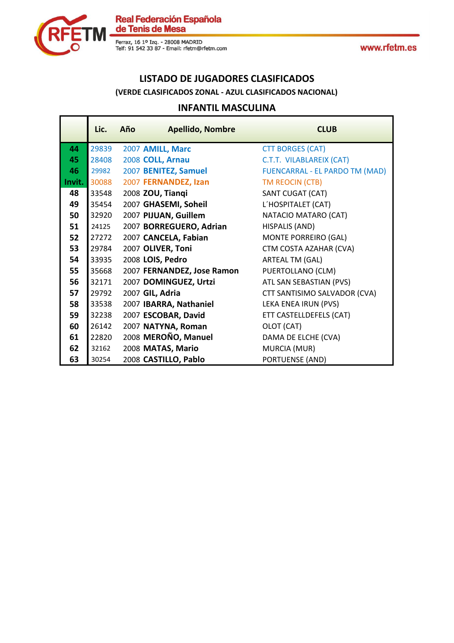



## **LISTADO DE JUGADORES CLASIFICADOS**

#### **(VERDE CLASIFICADOS ZONAL - AZUL CLASIFICADOS NACIONAL)**

#### **INFANTIL MASCULINA**

|        | Lic.  | Año | <b>Apellido, Nombre</b>    | <b>CLUB</b>                    |
|--------|-------|-----|----------------------------|--------------------------------|
| 44     | 29839 |     | 2007 AMILL, Marc           | <b>CTT BORGES (CAT)</b>        |
| 45     | 28408 |     | 2008 COLL, Arnau           | C.T.T. VILABLAREIX (CAT)       |
| 46     | 29982 |     | 2007 BENITEZ, Samuel       | FUENCARRAL - EL PARDO TM (MAD) |
| Invit. | 30088 |     | 2007 FERNANDEZ, Izan       | TM REOCIN (CTB)                |
| 48     | 33548 |     | 2008 ZOU, Tiangi           | SANT CUGAT (CAT)               |
| 49     | 35454 |     | 2007 GHASEMI, Soheil       | L'HOSPITALET (CAT)             |
| 50     | 32920 |     | 2007 PIJUAN, Guillem       | NATACIO MATARO (CAT)           |
| 51     | 24125 |     | 2007 BORREGUERO, Adrian    | HISPALIS (AND)                 |
| 52     | 27272 |     | 2007 CANCELA, Fabian       | MONTE PORREIRO (GAL)           |
| 53     | 29784 |     | 2007 OLIVER, Toni          | CTM COSTA AZAHAR (CVA)         |
| 54     | 33935 |     | 2008 LOIS, Pedro           | ARTEAL TM (GAL)                |
| 55     | 35668 |     | 2007 FERNANDEZ, Jose Ramon | PUERTOLLANO (CLM)              |
| 56     | 32171 |     | 2007 DOMINGUEZ, Urtzi      | ATL SAN SEBASTIAN (PVS)        |
| 57     | 29792 |     | 2007 GIL, Adria            | CTT SANTISIMO SALVADOR (CVA)   |
| 58     | 33538 |     | 2007 IBARRA, Nathaniel     | LEKA ENEA IRUN (PVS)           |
| 59     | 32238 |     | 2007 ESCOBAR, David        | ETT CASTELLDEFELS (CAT)        |
| 60     | 26142 |     | 2007 NATYNA, Roman         | OLOT (CAT)                     |
| 61     | 22820 |     | 2008 MEROÑO, Manuel        | DAMA DE ELCHE (CVA)            |
| 62     | 32162 |     | 2008 MATAS, Mario          | MURCIA (MUR)                   |
| 63     | 30254 |     | 2008 CASTILLO, Pablo       | PORTUENSE (AND)                |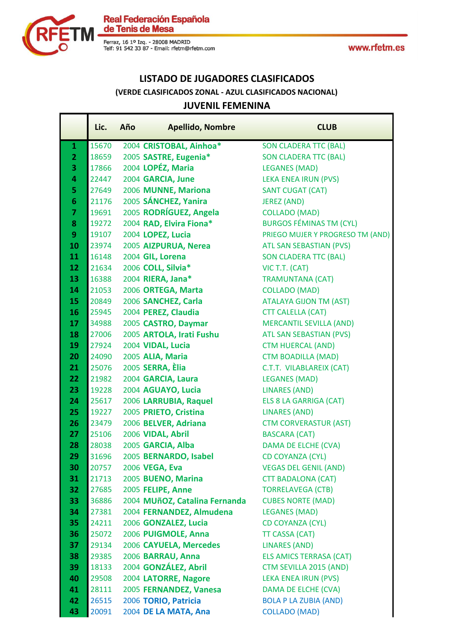

**Real Federación Española** de Tenis de Mesa

Ferraz, 16 1º Izq. - 28008 MADRID<br>Telf: 91 542 33 87 - Email: rfetm@rfetm.com

### **LISTADO DE JUGADORES CLASIFICADOS (VERDE CLASIFICADOS ZONAL - AZUL CLASIFICADOS NACIONAL) JUVENIL FEMENINA**

### **Lic. Año Apellido, Nombre CLUB** 1 15670 2004 **CRISTOBAL, Ainhoa\*** SON CLADERA TTC (BAL) 2 18659 2005 **SASTRE, Eugenia\*** SON CLADERA TTC (BAL) 17866 2004 **LOPÉZ, Maria** LEGANES (MAD) 22447 2004 **GARCIA, June** LEKA ENEA IRUN (PVS) 27649 2006 **MUNNE, Mariona** SANT CUGAT (CAT) 21176 2005 **SÁNCHEZ, Yanira** JEREZ (AND) 19691 2005 **RODRÍGUEZ, Angela** COLLADO (MAD) 19272 2004 **RAD, Elvira Fiona**\* BURGOS FÉMINAS TM (CYL) 19107 2004 **LOPEZ, Lucia** PRIEGO MUJER Y PROGRESO TM (AND) 10 23974 2005 **AIZPURUA, Nerea** ATL SAN SEBASTIAN (PVS) 16148 2004 GIL. Lorena SON CLADERA TTC (BAL) 21634 2006 **COLL, Silvia\*** VIC T.T. (CAT) 16388 2004 **RIERA, Jana\*** TRAMUNTANA (CAT) 21053 2006 **ORTEGA, Marta** COLLADO (MAD) 20849 2006 **SANCHEZ, Carla ATALAYA GIJON TM (AST)** 16 25945 2004 **PEREZ, Claudia** CTT CALELLA (CAT) 34988 2005 **CASTRO, Daymar** MERCANTIL SEVILLA (AND) 18 27006 2005 **ARTOLA, Irati Fushu** ATL SAN SEBASTIAN (PVS) 27924 2004 **VIDAL, Lucia** CTM HUERCAL (AND) 24090 2005 **ALIA, Maria** CTM BOADILLA (MAD) 25076 2005 **SERRA, Èlia** C.T.T. VILABLAREIX (CAT) 21982 2004 **GARCIA, Laura** LEGANES (MAD) 19228 2004 **AGUAYO, Lucia** LINARES (AND) 25617 2006 **LARRUBIA, Raquel** ELS 8 LA GARRIGA (CAT) 19227 2005 **PRIETO, Cristina** LINARES (AND) 23479 2006 **BELVER, Adriana** CTM CORVERASTUR (AST) 25106 2006 **VIDAL, Abril** BASCARA (CAT) 28038 2005 **GARCIA, Alba** DAMA DE ELCHE (CVA) 31696 2005 **BERNARDO, Isabel** CD COYANZA (CYL) 20757 2006 **VEGA, Eva** VEGAS DEL GENIL (AND) 21713 2005 **BUENO, Marina** CTT BADALONA (CAT) 27685 2005 **FELIPE, Anne** TORRELAVEGA (CTB) 36886 2004 **MUñOZ, Catalina Fernanda** CUBES NORTE (MAD) 27381 2004 **FERNANDEZ, Almudena** LEGANES (MAD) 24211 2006 **GONZALEZ, Lucia** CD COYANZA (CYL) 25072 2006 **PUIGMOLE, Anna** TT CASSA (CAT) 29134 2006 **CAYUELA, Mercedes** LINARES (AND) 29385 2006 **BARRAU, Anna** ELS AMICS TERRASA (CAT) 18133 2004 **GONZÁLEZ, Abril** CTM SEVILLA 2015 (AND) 29508 2004 **LATORRE, Nagore** LEKA ENEA IRUN (PVS) 28111 2005 **FERNANDEZ, Vanesa** DAMA DE ELCHE (CVA) 26515 2006 **TORIO, Patricia** BOLA P LA ZUBIA (AND) 20091 2004 **DE LA MATA, Ana** COLLADO (MAD)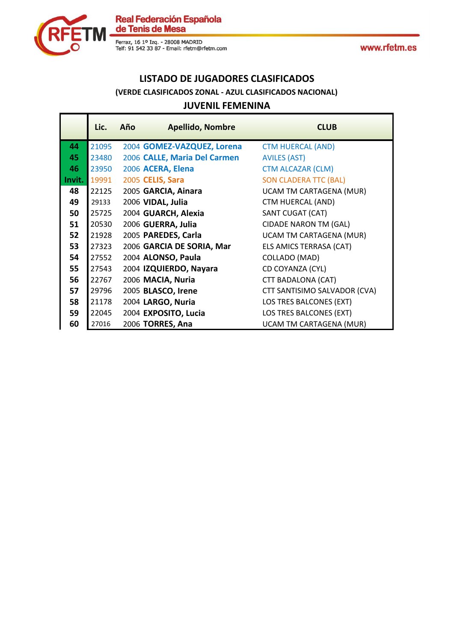



### **LISTADO DE JUGADORES CLASIFICADOS (VERDE CLASIFICADOS ZONAL - AZUL CLASIFICADOS NACIONAL) JUVENIL FEMENINA**

| $JU$ veivil i liviliviiva              |             |
|----------------------------------------|-------------|
| Lic.<br><b>Apellido, Nombre</b><br>Año | <b>CLUB</b> |

|        | LIL.  | AIIV | Apelliuo, Notitute           | <b>CLUD</b>                    |
|--------|-------|------|------------------------------|--------------------------------|
| 44     | 21095 |      | 2004 GOMEZ-VAZQUEZ, Lorena   | <b>CTM HUERCAL (AND)</b>       |
| 45     | 23480 |      | 2006 CALLE, Maria Del Carmen | <b>AVILES (AST)</b>            |
| 46     | 23950 |      | 2006 ACERA, Elena            | <b>CTM ALCAZAR (CLM)</b>       |
| Invit. | 19991 |      | 2005 CELIS, Sara             | <b>SON CLADERA TTC (BAL)</b>   |
| 48     | 22125 |      | 2005 GARCIA, Ainara          | UCAM TM CARTAGENA (MUR)        |
| 49     | 29133 |      | 2006 VIDAL, Julia            | CTM HUERCAL (AND)              |
| 50     | 25725 |      | 2004 GUARCH, Alexia          | SANT CUGAT (CAT)               |
| 51     | 20530 |      | 2006 GUERRA, Julia           | <b>CIDADE NARON TM (GAL)</b>   |
| 52     | 21928 |      | 2005 PAREDES, Carla          | <b>UCAM TM CARTAGENA (MUR)</b> |
| 53     | 27323 |      | 2006 GARCIA DE SORIA, Mar    | ELS AMICS TERRASA (CAT)        |
| 54     | 27552 |      | 2004 ALONSO, Paula           | COLLADO (MAD)                  |
| 55     | 27543 |      | 2004 IZQUIERDO, Nayara       | CD COYANZA (CYL)               |
| 56     | 22767 |      | 2006 MACIA, Nuria            | CTT BADALONA (CAT)             |
| 57     | 29796 |      | 2005 BLASCO, Irene           | CTT SANTISIMO SALVADOR (CVA)   |
| 58     | 21178 |      | 2004 LARGO, Nuria            | LOS TRES BALCONES (EXT)        |
| 59     | 22045 |      | 2004 EXPOSITO, Lucia         | LOS TRES BALCONES (EXT)        |
| 60     | 27016 |      | 2006 TORRES, Ana             | <b>UCAM TM CARTAGENA (MUR)</b> |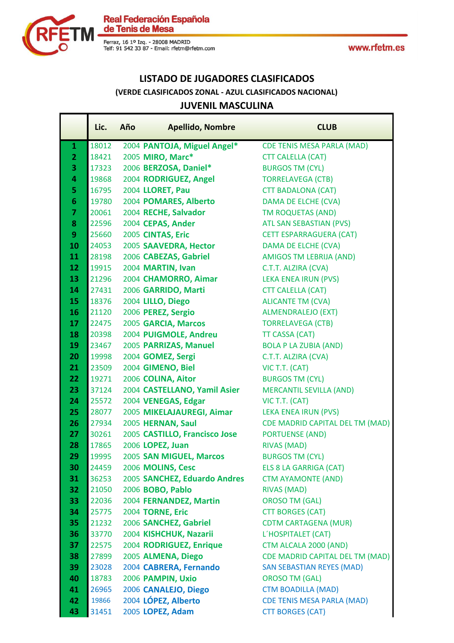

Real Federación Española<br>de Tenis de Mesa

Ferraz, 16 1º Izq. - 28008 MADRID<br>Telf: 91 542 33 87 - Email: rfetm@rfetm.com

### **LISTADO DE JUGADORES CLASIFICADOS JUVENIL MASCULINA (VERDE CLASIFICADOS ZONAL - AZUL CLASIFICADOS NACIONAL)**

|                | Lic.  | Año | <b>Apellido, Nombre</b>       | <b>CLUB</b>                            |
|----------------|-------|-----|-------------------------------|----------------------------------------|
| 1              | 18012 |     | 2004 PANTOJA, Miguel Angel*   | <b>CDE TENIS MESA PARLA (MAD)</b>      |
| $\overline{2}$ | 18421 |     | 2005 MIRO, Marc*              | <b>CTT CALELLA (CAT)</b>               |
| 3              | 17323 |     | 2006 BERZOSA, Daniel*         | <b>BURGOS TM (CYL)</b>                 |
| 4              | 19868 |     | 2004 RODRIGUEZ, Angel         | <b>TORRELAVEGA (CTB)</b>               |
| 5              | 16795 |     | 2004 LLORET, Pau              | <b>CTT BADALONA (CAT)</b>              |
| 6              | 19780 |     | 2004 POMARES, Alberto         | DAMA DE ELCHE (CVA)                    |
| 7              | 20061 |     | 2004 RECHE, Salvador          | <b>TM ROQUETAS (AND)</b>               |
| 8              | 22596 |     | 2004 CEPAS, Ander             | <b>ATL SAN SEBASTIAN (PVS)</b>         |
| 9              | 25660 |     | 2005 CINTAS, Eric             | <b>CETT ESPARRAGUERA (CAT)</b>         |
| 10             | 24053 |     | 2005 SAAVEDRA, Hector         | DAMA DE ELCHE (CVA)                    |
| 11             | 28198 |     | 2006 CABEZAS, Gabriel         | <b>AMIGOS TM LEBRIJA (AND)</b>         |
| 12             | 19915 |     | 2004 MARTIN, Ivan             | C.T.T. ALZIRA (CVA)                    |
| 13             | 21296 |     | 2004 CHAMORRO, Aimar          | <b>LEKA ENEA IRUN (PVS)</b>            |
| 14             | 27431 |     | 2006 GARRIDO, Marti           | <b>CTT CALELLA (CAT)</b>               |
| 15             | 18376 |     | 2004 LILLO, Diego             | <b>ALICANTE TM (CVA)</b>               |
| 16             | 21120 |     | 2006 PEREZ, Sergio            | <b>ALMENDRALEJO (EXT)</b>              |
| 17             | 22475 |     | 2005 GARCIA, Marcos           | <b>TORRELAVEGA (CTB)</b>               |
| 18             | 20398 |     | 2004 PUIGMOLE, Andreu         | TT CASSA (CAT)                         |
| 19             | 23467 |     | 2005 PARRIZAS, Manuel         | <b>BOLA P LA ZUBIA (AND)</b>           |
| 20             | 19998 |     | 2004 GOMEZ, Sergi             | C.T.T. ALZIRA (CVA)                    |
| 21             | 23509 |     | 2004 GIMENO, Biel             | VIC T.T. (CAT)                         |
| 22             | 19271 |     | 2006 COLINA, Aitor            | <b>BURGOS TM (CYL)</b>                 |
| 23             | 37124 |     | 2004 CASTELLANO, Yamil Asier  | <b>MERCANTIL SEVILLA (AND)</b>         |
| 24             | 25572 |     | 2004 VENEGAS, Edgar           | VIC T.T. (CAT)                         |
| 25             | 28077 |     | 2005 MIKELAJAUREGI, Aimar     | LEKA ENEA IRUN (PVS)                   |
| 26             | 27934 |     | 2005 HERNAN, Saul             | <b>CDE MADRID CAPITAL DEL TM (MAD)</b> |
| 27             | 30261 |     | 2005 CASTILLO, Francisco Jose | <b>PORTUENSE (AND)</b>                 |
| 28             | 17865 |     | 2006 LOPEZ, Juan              | <b>RIVAS (MAD)</b>                     |
| 29             | 19995 |     | 2005 SAN MIGUEL, Marcos       | <b>BURGOS TM (CYL)</b>                 |
| 30             | 24459 |     | 2006 MOLINS, Cesc             | <b>ELS 8 LA GARRIGA (CAT)</b>          |
| 31             | 36253 |     | 2005 SANCHEZ, Eduardo Andres  | <b>CTM AYAMONTE (AND)</b>              |
| 32             | 21050 |     | 2006 BOBO, Pablo              | <b>RIVAS (MAD)</b>                     |
| 33             | 22036 |     | 2004 FERNANDEZ, Martin        | <b>OROSO TM (GAL)</b>                  |
| 34             | 25775 |     | 2004 TORNE, Eric              | <b>CTT BORGES (CAT)</b>                |
| 35             | 21232 |     | 2006 SANCHEZ, Gabriel         | <b>CDTM CARTAGENA (MUR)</b>            |
| 36             | 33770 |     | 2004 KISHCHUK, Nazarii        | L'HOSPITALET (CAT)                     |
| 37             | 22575 |     | 2004 RODRIGUEZ, Enrique       | CTM ALCALA 2000 (AND)                  |
| 38             | 27899 |     | 2005 ALMENA, Diego            | <b>CDE MADRID CAPITAL DEL TM (MAD)</b> |
| 39             | 23028 |     | 2004 CABRERA, Fernando        | <b>SAN SEBASTIAN REYES (MAD)</b>       |
| 40             | 18783 |     | 2006 PAMPIN, Uxio             | <b>OROSO TM (GAL)</b>                  |
| 41             | 26965 |     | 2006 CANALEJO, Diego          | <b>CTM BOADILLA (MAD)</b>              |
| 42             | 19866 |     | 2004 LÓPEZ, Alberto           | <b>CDE TENIS MESA PARLA (MAD)</b>      |
| 43             | 31451 |     | 2005 LOPEZ, Adam              | <b>CTT BORGES (CAT)</b>                |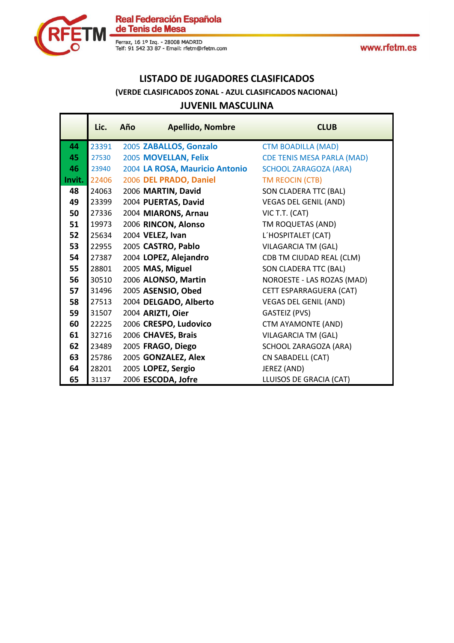



### **LISTADO DE JUGADORES CLASIFICADOS JUVENIL MASCULINA (VERDE CLASIFICADOS ZONAL - AZUL CLASIFICADOS NACIONAL)**

|        | Lic.  | Año | <b>Apellido, Nombre</b>        | <b>CLUB</b>                       |
|--------|-------|-----|--------------------------------|-----------------------------------|
| 44     | 23391 |     | 2005 ZABALLOS, Gonzalo         | <b>CTM BOADILLA (MAD)</b>         |
| 45     | 27530 |     | 2005 MOVELLAN, Felix           | <b>CDE TENIS MESA PARLA (MAD)</b> |
| 46     | 23940 |     | 2004 LA ROSA, Mauricio Antonio | <b>SCHOOL ZARAGOZA (ARA)</b>      |
| Invit. | 22406 |     | 2006 DEL PRADO, Daniel         | TM REOCIN (CTB)                   |
| 48     | 24063 |     | 2006 MARTIN, David             | SON CLADERA TTC (BAL)             |
| 49     | 23399 |     | 2004 PUERTAS, David            | <b>VEGAS DEL GENIL (AND)</b>      |
| 50     | 27336 |     | 2004 MIARONS, Arnau            | VIC T.T. (CAT)                    |
| 51     | 19973 |     | 2006 RINCON, Alonso            | TM ROQUETAS (AND)                 |
| 52     | 25634 |     | 2004 VELEZ, Ivan               | L'HOSPITALET (CAT)                |
| 53     | 22955 |     | 2005 CASTRO, Pablo             | <b>VILAGARCIA TM (GAL)</b>        |
| 54     | 27387 |     | 2004 LOPEZ, Alejandro          | CDB TM CIUDAD REAL (CLM)          |
| 55     | 28801 |     | 2005 MAS, Miguel               | SON CLADERA TTC (BAL)             |
| 56     | 30510 |     | 2006 ALONSO, Martin            | NOROESTE - LAS ROZAS (MAD)        |
| 57     | 31496 |     | 2005 ASENSIO, Obed             | CETT ESPARRAGUERA (CAT)           |
| 58     | 27513 |     | 2004 DELGADO, Alberto          | <b>VEGAS DEL GENIL (AND)</b>      |
| 59     | 31507 |     | 2004 ARIZTI, Oier              | <b>GASTEIZ (PVS)</b>              |
| 60     | 22225 |     | 2006 CRESPO, Ludovico          | CTM AYAMONTE (AND)                |
| 61     | 32716 |     | 2006 CHAVES, Brais             | VILAGARCIA TM (GAL)               |
| 62     | 23489 |     | 2005 FRAGO, Diego              | SCHOOL ZARAGOZA (ARA)             |
| 63     | 25786 |     | 2005 GONZALEZ, Alex            | CN SABADELL (CAT)                 |
| 64     | 28201 |     | 2005 LOPEZ, Sergio             | JEREZ (AND)                       |
| 65     | 31137 |     | 2006 ESCODA, Jofre             | LLUISOS DE GRACIA (CAT)           |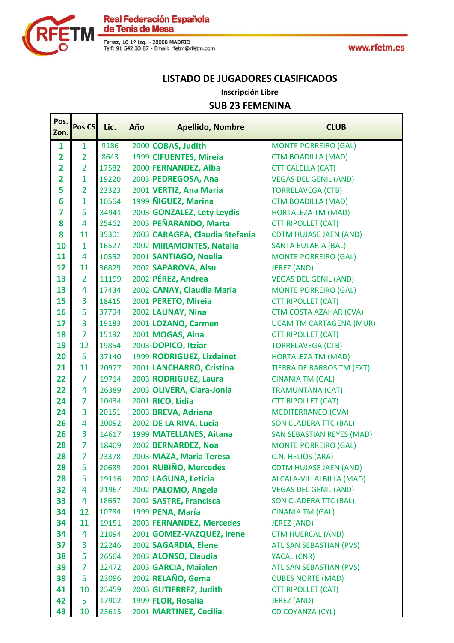

Real Federación Española<br>de Tenis de Mesa

Ferraz, 16 1º Izq. - 28008 MADRID<br>Telf: 91 542 33 87 - Email: rfetm@rfetm.com

### **LISTADO DE JUGADORES CLASIFICADOS**

**Inscripción Libre**

### **SUB 23 FEMENINA**

| Pos.                    | Pos CS         | Lic.  | Año | <b>Apellido, Nombre</b>        | <b>CLUB</b>                      |
|-------------------------|----------------|-------|-----|--------------------------------|----------------------------------|
| Zon.                    |                |       |     |                                |                                  |
| 1                       | 1              | 9186  |     | 2000 COBAS, Judith             | <b>MONTE PORREIRO (GAL)</b>      |
| $\overline{\mathbf{2}}$ | $\overline{2}$ | 8643  |     | 1999 CIFUENTES, Mireia         | <b>CTM BOADILLA (MAD)</b>        |
| $\overline{\mathbf{2}}$ | $\overline{2}$ | 17582 |     | 2000 FERNANDEZ, Alba           | <b>CTT CALELLA (CAT)</b>         |
| $\overline{\mathbf{2}}$ | $\mathbf{1}$   | 19220 |     | 2003 PEDREGOSA, Ana            | <b>VEGAS DEL GENIL (AND)</b>     |
| 5                       | $\overline{2}$ | 23323 |     | 2001 VERTIZ, Ana Maria         | <b>TORRELAVEGA (CTB)</b>         |
| 6                       | $\mathbf 1$    | 10564 |     | 1999 NIGUEZ, Marina            | <b>CTM BOADILLA (MAD)</b>        |
| 7                       | 5              | 34941 |     | 2003 GONZALEZ, Lety Leydis     | <b>HORTALEZA TM (MAD)</b>        |
| 8                       | $\overline{4}$ | 25462 |     | 2003 PEÑARANDO, Marta          | <b>CTT RIPOLLET (CAT)</b>        |
| 8                       | 11             | 35301 |     | 2003 CARAGEA, Claudia Stefania | <b>CDTM HUJASE JAEN (AND)</b>    |
| 10                      | $\mathbf{1}$   | 16527 |     | 2002 MIRAMONTES, Natalia       | <b>SANTA EULARIA (BAL)</b>       |
| 11                      | 4              | 10552 |     | 2001 SANTIAGO, Noelia          | <b>MONTE PORREIRO (GAL)</b>      |
| 12                      | 11             | 36829 |     | 2002 SAPAROVA, Alsu            | <b>JEREZ (AND)</b>               |
| 13                      | $\overline{2}$ | 11199 |     | 2002 PÉREZ, Andrea             | <b>VEGAS DEL GENIL (AND)</b>     |
| 13                      | 4              | 17434 |     | 2002 CANAY, Claudia Maria      | <b>MONTE PORREIRO (GAL)</b>      |
| 15                      | 3              | 18415 |     | 2001 PERETO, Mireia            | <b>CTT RIPOLLET (CAT)</b>        |
| 16                      | 5              | 37794 |     | 2002 LAUNAY, Nina              | <b>CTM COSTA AZAHAR (CVA)</b>    |
| 17                      | 3              | 19183 |     | 2001 LOZANO, Carmen            | <b>UCAM TM CARTAGENA (MUR)</b>   |
| 18                      | $\overline{7}$ | 15192 |     | 2001 MOGAS, Aina               | <b>CTT RIPOLLET (CAT)</b>        |
| 19                      | 12             | 19854 |     | 2003 DOPICO, Itziar            | <b>TORRELAVEGA (CTB)</b>         |
| 20                      | 5              | 37140 |     | 1999 RODRIGUEZ, Lizdainet      | HORTALEZA TM (MAD)               |
| 21                      | 11             | 20977 |     | 2001 LANCHARRO, Cristina       | <b>TIERRA DE BARROS TM (EXT)</b> |
| 22                      | $\overline{7}$ | 19714 |     | 2003 RODRIGUEZ, Laura          | <b>CINANIA TM (GAL)</b>          |
| 22                      | 4              | 26389 |     | 2003 OLIVERA, Clara-Jonia      | <b>TRAMUNTANA (CAT)</b>          |
| 24                      | 7              | 10434 |     | 2001 RICO, Lidia               | <b>CTT RIPOLLET (CAT)</b>        |
| 24                      | 3              | 20151 |     | 2003 BREVA, Adriana            | <b>MEDITERRANEO (CVA)</b>        |
| 26                      | 4              | 20092 |     | 2002 DE LA RIVA, Lucia         | <b>SON CLADERA TTC (BAL)</b>     |
| 26                      | 3              | 14617 |     | 1999 MATELLANES, Aitana        | <b>SAN SEBASTIAN REYES (MAD)</b> |
| 28                      | 7              | 18409 |     | 2002 BERNARDEZ, Noa            | <b>MONTE PORREIRO (GAL)</b>      |
| 28                      | $\overline{7}$ | 23378 |     | 2003 MAZA, Maria Teresa        | C.N. HELIOS (ARA)                |
| 28                      | 5              | 20689 |     | 2001 RUBIÑO, Mercedes          | <b>CDTM HUJASE JAEN (AND)</b>    |
| 28                      | 5              | 19116 |     | 2002 LAGUNA, Leticia           | ALCALA-VILLALBILLA (MAD)         |
| 32                      | 4              | 21967 |     | 2002 PALOMO, Angela            | <b>VEGAS DEL GENIL (AND)</b>     |
| 33                      | 4              | 18657 |     | 2002 SASTRE, Francisca         | <b>SON CLADERA TTC (BAL)</b>     |
| 34                      | 12             | 10784 |     | 1999 PENA, María               | <b>CINANIA TM (GAL)</b>          |
| 34                      | 11             | 19151 |     | 2003 FERNANDEZ, Mercedes       | <b>JEREZ (AND)</b>               |
| 34                      | 4              | 21094 |     | 2001 GOMEZ-VAZQUEZ, Irene      | <b>CTM HUERCAL (AND)</b>         |
| 37                      | 3              | 22246 |     | 2002 SAGARDIA, Elene           | <b>ATL SAN SEBASTIAN (PVS)</b>   |
| 38                      | 5              | 26504 |     | 2003 ALONSO, Claudia           | YACAL (CNR)                      |
| 39                      | 7              | 22472 |     | 2003 GARCIA, Maialen           | <b>ATL SAN SEBASTIAN (PVS)</b>   |
| 39                      | 5              | 23096 |     | 2002 RELAÑO, Gema              | <b>CUBES NORTE (MAD)</b>         |
| 41                      | 10             | 25459 |     | 2003 GUTIERREZ, Judith         | <b>CTT RIPOLLET (CAT)</b>        |
| 42                      | 5              | 17902 |     | 1999 FLOR, Rosalia             | <b>JEREZ (AND)</b>               |
| 43                      | 10             | 23615 |     | 2001 MARTINEZ, Cecilia         | <b>CD COYANZA (CYL)</b>          |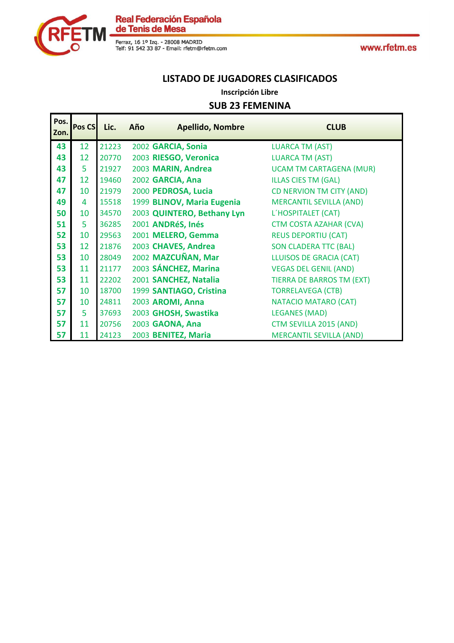

### **LISTADO DE JUGADORES CLASIFICADOS**

**Inscripción Libre**

### **SUB 23 FEMENINA**

| Pos.<br>Zon. | <b>Pos CS</b> | Lic.  | Año | <b>Apellido, Nombre</b>    | <b>CLUB</b>                      |
|--------------|---------------|-------|-----|----------------------------|----------------------------------|
| 43           | 12            | 21223 |     | 2002 GARCIA, Sonia         | <b>LUARCA TM (AST)</b>           |
| 43           | 12            | 20770 |     | 2003 RIESGO, Veronica      | <b>LUARCA TM (AST)</b>           |
| 43           | 5             | 21927 |     | 2003 MARIN, Andrea         | <b>UCAM TM CARTAGENA (MUR)</b>   |
| 47           | 12            | 19460 |     | 2002 GARCIA, Ana           | <b>ILLAS CIES TM (GAL)</b>       |
| 47           | 10            | 21979 |     | 2000 PEDROSA, Lucia        | CD NERVION TM CITY (AND)         |
| 49           | 4             | 15518 |     | 1999 BLINOV, Maria Eugenia | <b>MERCANTIL SEVILLA (AND)</b>   |
| 50           | 10            | 34570 |     | 2003 QUINTERO, Bethany Lyn | L'HOSPITALET (CAT)               |
| 51           | 5             | 36285 |     | 2001 ANDRéS, Inés          | <b>CTM COSTA AZAHAR (CVA)</b>    |
| 52           | 10            | 29563 |     | 2001 MELERO, Gemma         | <b>REUS DEPORTIU (CAT)</b>       |
| 53           | 12            | 21876 |     | 2003 CHAVES, Andrea        | <b>SON CLADERA TTC (BAL)</b>     |
| 53           | 10            | 28049 |     | 2002 MAZCUÑAN, Mar         | <b>LLUISOS DE GRACIA (CAT)</b>   |
| 53           | 11            | 21177 |     | 2003 SÁNCHEZ, Marina       | <b>VEGAS DEL GENIL (AND)</b>     |
| 53           | 11            | 22202 |     | 2001 SANCHEZ, Natalia      | <b>TIERRA DE BARROS TM (EXT)</b> |
| 57           | 10            | 18700 |     | 1999 SANTIAGO, Cristina    | <b>TORRELAVEGA (CTB)</b>         |
| 57           | 10            | 24811 |     | 2003 AROMI, Anna           | NATACIO MATARO (CAT)             |
| 57           | 5             | 37693 |     | 2003 GHOSH, Swastika       | <b>LEGANES (MAD)</b>             |
| 57           | 11            | 20756 |     | 2003 GAONA, Ana            | CTM SEVILLA 2015 (AND)           |
| 57           | 11            | 24123 |     | 2003 BENITEZ, Maria        | <b>MERCANTIL SEVILLA (AND)</b>   |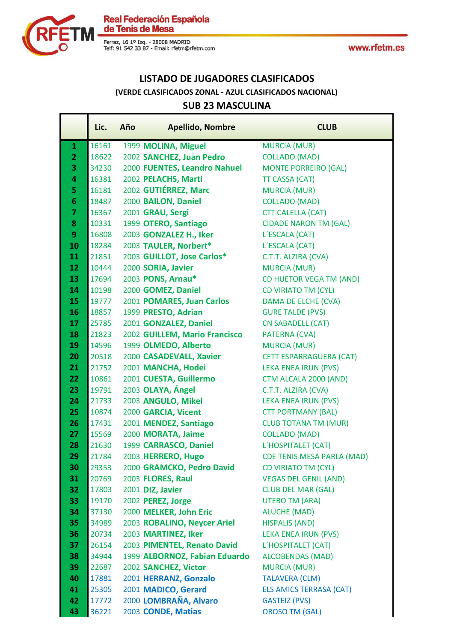

Real Federación Española<br>de Tenis de Mesa

Ferraz, 16 1º Izq. - 28008 MADRID<br>Telf: 91 542 33 87 - Email: rfetm@rfetm.com

## **LISTADO DE JUGADORES CLASIFICADOS (VERDE CLASIFICADOS ZONAL - AZUL CLASIFICADOS NACIONAL)**

### **SUB 23 MASCULINA**

|                 | Lic.           | Año | <b>Apellido, Nombre</b>                                      | <b>CLUB</b>                                   |
|-----------------|----------------|-----|--------------------------------------------------------------|-----------------------------------------------|
| $\mathbf{1}$    | 16161          |     | 1999 MOLINA, Miguel                                          | <b>MURCIA (MUR)</b>                           |
| $\overline{2}$  | 18622          |     | 2002 SANCHEZ, Juan Pedro                                     | <b>COLLADO (MAD)</b>                          |
| 3               | 34230          |     | 2000 FUENTES, Leandro Nahuel                                 | <b>MONTE PORREIRO (GAL)</b>                   |
| 4               | 16381          |     | 2002 PELACHS, Marti                                          | <b>TT CASSA (CAT)</b>                         |
| 5               | 16181          |     | 2002 GUTIÉRREZ, Marc                                         | <b>MURCIA (MUR)</b>                           |
| $6\phantom{1}6$ | 18487          |     | 2000 BAILON, Daniel                                          | <b>COLLADO (MAD)</b>                          |
| $\overline{7}$  | 16367          |     | 2001 GRAU, Sergi                                             | <b>CTT CALELLA (CAT)</b>                      |
| 8               | 10331          |     | 1999 OTERO, Santiago                                         | <b>CIDADE NARON TM (GAL)</b>                  |
| 9               | 16808          |     | 2003 GONZALEZ H., Iker                                       | L'ESCALA (CAT)                                |
| 10              | 18284          |     | 2003 TAULER, Norbert*                                        | L'ESCALA (CAT)                                |
| 11              | 21851          |     | 2003 GUILLOT, Jose Carlos*                                   | C.T.T. ALZIRA (CVA)                           |
| 12              | 10444          |     | 2000 SORIA, Javier                                           | <b>MURCIA (MUR)</b>                           |
| 13              | 17694          |     | 2003 PONS, Arnau*                                            | CD HUETOR VEGA TM (AND)                       |
| 14              | 10198          |     | 2000 GOMEZ, Daniel                                           | <b>CD VIRIATO TM (CYL)</b>                    |
| 15              | 19777          |     | 2001 POMARES, Juan Carlos                                    | DAMA DE ELCHE (CVA)                           |
| 16              | 18857          |     | 1999 PRESTO, Adrian                                          | <b>GURE TALDE (PVS)</b>                       |
| 17              | 25785          |     | 2001 GONZALEZ, Daniel                                        | <b>CN SABADELL (CAT)</b>                      |
| 18              | 21823          |     | 2002 GUILLEM, Mario Francisco                                | <b>PATERNA (CVA)</b>                          |
| 19              | 14596          |     | 1999 OLMEDO, Alberto                                         | <b>MURCIA (MUR)</b>                           |
| 20              | 20518          |     | 2000 CASADEVALL, Xavier                                      | <b>CETT ESPARRAGUERA (CAT)</b>                |
| 21              | 21752          |     | 2001 MANCHA, Hodei                                           | LEKA ENEA IRUN (PVS)                          |
| 22              | 10861          |     | 2001 CUESTA, Guillermo                                       | CTM ALCALA 2000 (AND)                         |
| 23              | 19791          |     | 2003 OLAYA, Ángel                                            | C.T.T. ALZIRA (CVA)                           |
| 24              | 21733          |     | 2003 ANGULO, Mikel                                           | <b>LEKA ENEA IRUN (PVS)</b>                   |
| 25              | 10874          |     | 2000 GARCIA, Vicent                                          | <b>CTT PORTMANY (BAL)</b>                     |
| 26              | 17431          |     | 2001 MENDEZ, Santiago                                        | <b>CLUB TOTANA TM (MUR)</b>                   |
| 27              | 15569          |     | 2000 MORATA, Jaime                                           | <b>COLLADO (MAD)</b>                          |
| 28              | 21630          |     | 1999 CARRASCO, Daniel                                        | L'HOSPITALET (CAT)                            |
| 29              | 21784          |     | 2003 HERRERO, Hugo                                           | <b>CDE TENIS MESA PARLA (MAD)</b>             |
| 30              | 29353          |     | 2000 GRAMCKO, Pedro David                                    | <b>CD VIRIATO TM (CYL)</b>                    |
| 31              | 20769          |     | 2003 FLORES, Raul                                            | <b>VEGAS DEL GENIL (AND)</b>                  |
| 32              | 17803          |     | 2001 DIZ, Javier                                             | <b>CLUB DEL MAR (GAL)</b>                     |
| 33<br>34        | 19170<br>37130 |     | 2002 PEREZ, Jorge                                            | <b>UTEBO TM (ARA)</b>                         |
| 35              |                |     | 2000 MELKER, John Eric                                       | <b>ALUCHE (MAD)</b>                           |
| 36              | 34989          |     | 2003 ROBALINO, Neycer Ariel<br>2003 MARTINEZ, Iker           | <b>HISPALIS (AND)</b><br>LEKA ENEA IRUN (PVS) |
|                 | 20734          |     |                                                              |                                               |
| 37<br>38        | 26154<br>34944 |     | 2003 PIMENTEL, Renato David<br>1999 ALBORNOZ, Fabian Eduardo | L'HOSPITALET (CAT)<br><b>ALCOBENDAS (MAD)</b> |
| 39              | 22687          |     | 2002 SANCHEZ, Victor                                         | <b>MURCIA (MUR)</b>                           |
| 40              | 17881          |     | 2001 HERRANZ, Gonzalo                                        | <b>TALAVERA (CLM)</b>                         |
| 41              | 25305          |     | 2001 MADICO, Gerard                                          | <b>ELS AMICS TERRASA (CAT)</b>                |
| 42              | 17772          |     | 2000 LOMBRAÑA, Alvaro                                        | <b>GASTEIZ (PVS)</b>                          |
| 43              | 36221          |     | 2003 CONDE, Matias                                           | <b>OROSO TM (GAL)</b>                         |
|                 |                |     |                                                              |                                               |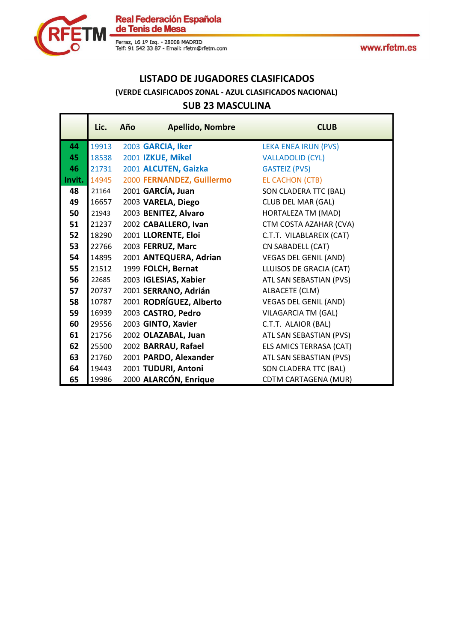



## **LISTADO DE JUGADORES CLASIFICADOS (VERDE CLASIFICADOS ZONAL - AZUL CLASIFICADOS NACIONAL)**

### **SUB 23 MASCULINA**

|        | Lic.  | Año | <b>Apellido, Nombre</b>   | <b>CLUB</b>                  |
|--------|-------|-----|---------------------------|------------------------------|
| 44     | 19913 |     | 2003 GARCIA, Iker         | <b>LEKA ENEA IRUN (PVS)</b>  |
| 45     | 18538 |     | 2001 IZKUE, Mikel         | <b>VALLADOLID (CYL)</b>      |
| 46     | 21731 |     | 2001 ALCUTEN, Gaizka      | <b>GASTEIZ (PVS)</b>         |
| Invit. | 14945 |     | 2000 FERNANDEZ, Guillermo | <b>EL CACHON (CTB)</b>       |
| 48     | 21164 |     | 2001 GARCÍA, Juan         | SON CLADERA TTC (BAL)        |
| 49     | 16657 |     | 2003 VARELA, Diego        | CLUB DEL MAR (GAL)           |
| 50     | 21943 |     | 2003 BENITEZ, Alvaro      | HORTALEZA TM (MAD)           |
| 51     | 21237 |     | 2002 CABALLERO, Ivan      | CTM COSTA AZAHAR (CVA)       |
| 52     | 18290 |     | 2001 LLORENTE, Eloi       | C.T.T. VILABLAREIX (CAT)     |
| 53     | 22766 |     | 2003 FERRUZ, Marc         | CN SABADELL (CAT)            |
| 54     | 14895 |     | 2001 ANTEQUERA, Adrian    | <b>VEGAS DEL GENIL (AND)</b> |
| 55     | 21512 |     | 1999 FOLCH, Bernat        | LLUISOS DE GRACIA (CAT)      |
| 56     | 22685 |     | 2003 IGLESIAS, Xabier     | ATL SAN SEBASTIAN (PVS)      |
| 57     | 20737 |     | 2001 SERRANO, Adrián      | ALBACETE (CLM)               |
| 58     | 10787 |     | 2001 RODRÍGUEZ, Alberto   | <b>VEGAS DEL GENIL (AND)</b> |
| 59     | 16939 |     | 2003 CASTRO, Pedro        | VILAGARCIA TM (GAL)          |
| 60     | 29556 |     | 2003 GINTO, Xavier        | C.T.T. ALAIOR (BAL)          |
| 61     | 21756 |     | 2002 OLAZABAL, Juan       | ATL SAN SEBASTIAN (PVS)      |
| 62     | 25500 |     | 2002 BARRAU, Rafael       | ELS AMICS TERRASA (CAT)      |
| 63     | 21760 |     | 2001 PARDO, Alexander     | ATL SAN SEBASTIAN (PVS)      |
| 64     | 19443 |     | 2001 TUDURI, Antoni       | SON CLADERA TTC (BAL)        |
| 65     | 19986 |     | 2000 ALARCÓN, Enrique     | <b>CDTM CARTAGENA (MUR)</b>  |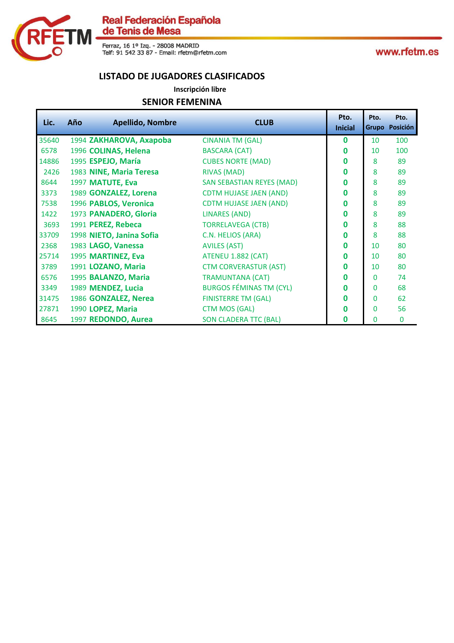

Ferraz, 16 1º Izq. - 28008 MADRID<br>Telf: 91 542 33 87 - Email: rfetm@rfetm.com

www.rfetm.es

#### **LISTADO DE JUGADORES CLASIFICADOS**

**Inscripción libre**

#### **SENIOR FEMENINA**

| Lic.  | Año | <b>Apellido, Nombre</b>  | <b>CLUB</b>                      | Pto.<br><b>Inicial</b> | Pto.     | Pto.<br>Grupo Posición |
|-------|-----|--------------------------|----------------------------------|------------------------|----------|------------------------|
| 35640 |     | 1994 ZAKHAROVA, Axapoba  | <b>CINANIA TM (GAL)</b>          | $\bf{0}$               | 10       | 100                    |
| 6578  |     | 1996 COLINAS, Helena     | <b>BASCARA (CAT)</b>             | $\bf{0}$               | 10       | 100                    |
| 14886 |     | 1995 ESPEJO, María       | <b>CUBES NORTE (MAD)</b>         | $\bf{0}$               | 8        | 89                     |
| 2426  |     | 1983 NINE, Maria Teresa  | <b>RIVAS (MAD)</b>               | $\mathbf{0}$           | 8        | 89                     |
| 8644  |     | 1997 MATUTE, Eva         | <b>SAN SEBASTIAN REYES (MAD)</b> | $\bf{0}$               | 8        | 89                     |
| 3373  |     | 1989 GONZALEZ, Lorena    | <b>CDTM HUJASE JAEN (AND)</b>    | $\bf{0}$               | 8        | 89                     |
| 7538  |     | 1996 PABLOS, Veronica    | <b>CDTM HUJASE JAEN (AND)</b>    | $\bf{0}$               | 8        | 89                     |
| 1422  |     | 1973 PANADERO, Gloria    | <b>LINARES (AND)</b>             | $\bf{0}$               | 8        | 89                     |
| 3693  |     | 1991 PEREZ, Rebeca       | <b>TORRELAVEGA (CTB)</b>         | $\bf{0}$               | 8        | 88                     |
| 33709 |     | 1998 NIETO, Janina Sofia | C.N. HELIOS (ARA)                | $\Omega$               | 8        | 88                     |
| 2368  |     | 1983 LAGO, Vanessa       | <b>AVILES (AST)</b>              | $\bf{0}$               | 10       | 80                     |
| 25714 |     | 1995 MARTINEZ, Eva       | <b>ATENEU 1.882 (CAT)</b>        | $\bf{0}$               | 10       | 80                     |
| 3789  |     | 1991 LOZANO, Maria       | <b>CTM CORVERASTUR (AST)</b>     | $\bf{0}$               | 10       | 80                     |
| 6576  |     | 1995 BALANZO, Maria      | <b>TRAMUNTANA (CAT)</b>          | $\bf{0}$               | 0        | 74                     |
| 3349  |     | 1989 MENDEZ, Lucia       | <b>BURGOS FÉMINAS TM (CYL)</b>   | $\bf{0}$               | $\Omega$ | 68                     |
| 31475 |     | 1986 GONZALEZ, Nerea     | <b>FINISTERRE TM (GAL)</b>       | $\Omega$               | $\Omega$ | 62                     |
| 27871 |     | 1990 LOPEZ, Maria        | <b>CTM MOS (GAL)</b>             | O                      | 0        | 56                     |
| 8645  |     | 1997 REDONDO, Aurea      | <b>SON CLADERA TTC (BAL)</b>     | 0                      | 0        | $\mathbf 0$            |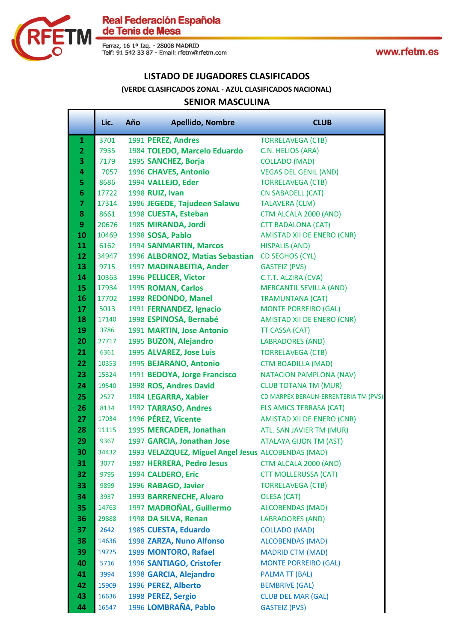

Ferraz, 16 1º Izq. - 28008 MADRID<br>Telf: 91 542 33 87 - Email: rfetm@rfetm.com

www.rfetm.es

#### **LISTADO DE JUGADORES CLASIFICADOS**

#### **(VERDE CLASIFICADOS ZONAL - AZUL CLASIFICADOS NACIONAL)**

#### **SENIOR MASCULINA**

|                | Lic.  | Año | <b>Apellido, Nombre</b>                             | <b>CLUB</b>                          |
|----------------|-------|-----|-----------------------------------------------------|--------------------------------------|
| $\mathbf{1}$   | 3701  |     | 1991 PEREZ, Andres                                  | <b>TORRELAVEGA (CTB)</b>             |
| $\overline{2}$ | 7935  |     | 1984 TOLEDO, Marcelo Eduardo                        | C.N. HELIOS (ARA)                    |
| 3              | 7179  |     | 1995 SANCHEZ, Borja                                 | <b>COLLADO (MAD)</b>                 |
| 4              | 7057  |     | 1996 CHAVES, Antonio                                | <b>VEGAS DEL GENIL (AND)</b>         |
| 5              | 8686  |     | 1994 VALLEJO, Eder                                  | <b>TORRELAVEGA (CTB)</b>             |
| 6              | 17722 |     | 1998 RUIZ, Ivan                                     | <b>CN SABADELL (CAT)</b>             |
| $\overline{7}$ | 17314 |     | 1986 JEGEDE, Tajudeen Salawu                        | <b>TALAVERA (CLM)</b>                |
| 8              | 8661  |     | 1998 CUESTA, Esteban                                | CTM ALCALA 2000 (AND)                |
| 9              | 20676 |     | 1985 MIRANDA, Jordi                                 | <b>CTT BADALONA (CAT)</b>            |
| 10             | 10469 |     | 1998 SOSA, Pablo                                    | AMISTAD XII DE ENERO (CNR)           |
| 11             | 6162  |     | 1994 SANMARTIN, Marcos                              | <b>HISPALIS (AND)</b>                |
| 12             | 34947 |     | 1996 ALBORNOZ, Matias Sebastian                     | <b>CD SEGHOS (CYL)</b>               |
| 13             | 9715  |     | 1997 MADINABEITIA, Ander                            | <b>GASTEIZ (PVS)</b>                 |
| 14             | 10363 |     | 1996 PELLICER, Victor                               | C.T.T. ALZIRA (CVA)                  |
| 15             | 17934 |     | 1995 ROMAN, Carlos                                  | <b>MERCANTIL SEVILLA (AND)</b>       |
| 16             | 17702 |     | 1998 REDONDO, Manel                                 | <b>TRAMUNTANA (CAT)</b>              |
| 17             | 5013  |     | 1991 FERNANDEZ, Ignacio                             | <b>MONTE PORREIRO (GAL)</b>          |
| 18             | 17140 |     | 1998 ESPINOSA, Bernabé                              | <b>AMISTAD XII DE ENERO (CNR)</b>    |
| 19             | 3786  |     | 1991 MARTIN, Jose Antonio                           | <b>TT CASSA (CAT)</b>                |
| 20             | 27717 |     | 1995 BUZON, Alejandro                               | <b>LABRADORES (AND)</b>              |
| 21             | 6361  |     | 1995 ALVAREZ, Jose Luis                             | <b>TORRELAVEGA (CTB)</b>             |
| 22             | 10353 |     | 1995 BEJARANO, Antonio                              | <b>CTM BOADILLA (MAD)</b>            |
| 23             | 15324 |     | 1991 BEDOYA, Jorge Francisco                        | <b>NATACION PAMPLONA (NAV)</b>       |
| 24             | 19540 |     | 1998 ROS, Andres David                              | <b>CLUB TOTANA TM (MUR)</b>          |
| 25             | 2527  |     | 1984 LEGARRA, Xabier                                | CD MARPEX BERAUN-ERRENTERIA TM (PVS) |
| 26             | 8134  |     | 1992 TARRASO, Andres                                | <b>ELS AMICS TERRASA (CAT)</b>       |
| 27             | 17034 |     | 1996 PÉREZ, Vicente                                 | AMISTAD XII DE ENERO (CNR)           |
| 28             | 11115 |     | 1995 MERCADER, Jonathan                             | ATL. SAN JAVIER TM (MUR)             |
| 29             | 9367  |     | 1997 GARCIA, Jonathan Jose                          | <b>ATALAYA GIJON TM (AST)</b>        |
| 30             | 34432 |     | 1993 VELAZQUEZ, Miguel Angel Jesus ALCOBENDAS (MAD) |                                      |
| 31             | 3077  |     | 1987 HERRERA, Pedro Jesus                           | CTM ALCALA 2000 (AND)                |
| 32             | 9795  |     | 1994 CALDERO, Eric                                  | <b>CTT MOLLERUSSA (CAT)</b>          |
| 33             | 9899  |     | 1996 RABAGO, Javier                                 | <b>TORRELAVEGA (CTB)</b>             |
| 34             | 3937  |     | 1993 BARRENECHE, Alvaro                             | <b>OLESA (CAT)</b>                   |
| 35             | 14763 |     | 1997 MADROÑAL, Guillermo                            | <b>ALCOBENDAS (MAD)</b>              |
| 36             | 29888 |     | 1998 DA SILVA, Renan                                | <b>LABRADORES (AND)</b>              |
| 37             | 2642  |     | 1985 CUESTA, Eduardo                                | <b>COLLADO (MAD)</b>                 |
| 38             | 14636 |     | 1998 ZARZA, Nuno Alfonso                            | <b>ALCOBENDAS (MAD)</b>              |
| 39             | 19725 |     | 1989 MONTORO, Rafael                                | <b>MADRID CTM (MAD)</b>              |
| 40             | 5716  |     | 1996 SANTIAGO, Cristofer                            | <b>MONTE PORREIRO (GAL)</b>          |
| 41             | 3994  |     | 1998 GARCIA, Alejandro                              | <b>PALMA TT (BAL)</b>                |
| 42             | 15909 |     | 1996 PEREZ, Alberto                                 | <b>BEMBRIVE (GAL)</b>                |
| 43             | 16636 |     | 1998 PEREZ, Sergio                                  | <b>CLUB DEL MAR (GAL)</b>            |
| 44             | 16547 |     | 1996 LOMBRAÑA, Pablo                                | <b>GASTEIZ (PVS)</b>                 |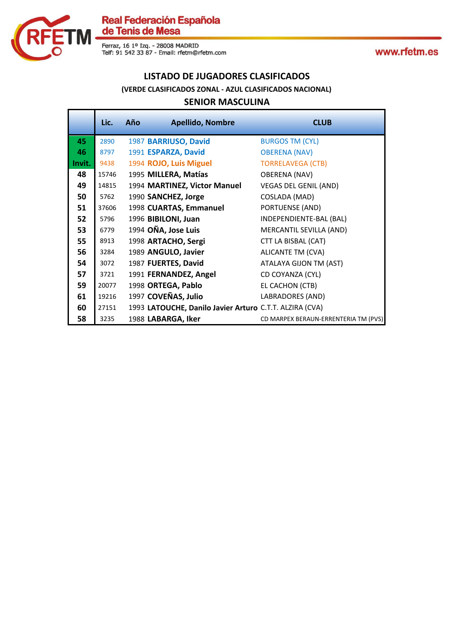

Ferraz, 16 1º Izq. - 28008 MADRID<br>Telf: 91 542 33 87 - Email: rfetm@rfetm.com

www.rfetm.es

#### **LISTADO DE JUGADORES CLASIFICADOS**

#### **(VERDE CLASIFICADOS ZONAL - AZUL CLASIFICADOS NACIONAL)**

#### **SENIOR MASCULINA**

|        | Lic.  | Año | <b>Apellido, Nombre</b>                                 | <b>CLUB</b>                          |
|--------|-------|-----|---------------------------------------------------------|--------------------------------------|
| 45     | 2890  |     | 1987 BARRIUSO, David                                    | <b>BURGOS TM (CYL)</b>               |
| 46     | 8797  |     | 1991 ESPARZA, David                                     | <b>OBERENA (NAV)</b>                 |
| Invit. | 9438  |     | 1994 ROJO, Luis Miguel                                  | <b>TORRELAVEGA (CTB)</b>             |
| 48     | 15746 |     | 1995 MILLERA, Matías                                    | <b>OBERENA (NAV)</b>                 |
| 49     | 14815 |     | 1994 MARTINEZ, Victor Manuel                            | <b>VEGAS DEL GENIL (AND)</b>         |
| 50     | 5762  |     | 1990 SANCHEZ, Jorge                                     | COSLADA (MAD)                        |
| 51     | 37606 |     | 1998 CUARTAS, Emmanuel                                  | PORTUENSE (AND)                      |
| 52     | 5796  |     | 1996 BIBILONI, Juan                                     | INDEPENDIENTE-BAL (BAL)              |
| 53     | 6779  |     | 1994 OÑA, Jose Luis                                     | MERCANTIL SEVILLA (AND)              |
| 55     | 8913  |     | 1998 ARTACHO, Sergi                                     | CTT LA BISBAL (CAT)                  |
| 56     | 3284  |     | 1989 ANGULO, Javier                                     | ALICANTE TM (CVA)                    |
| 54     | 3072  |     | 1987 FUERTES, David                                     | ATALAYA GIJON TM (AST)               |
| 57     | 3721  |     | 1991 FERNANDEZ, Angel                                   | CD COYANZA (CYL)                     |
| 59     | 20077 |     | 1998 ORTEGA, Pablo                                      | EL CACHON (CTB)                      |
| 61     | 19216 |     | 1997 COVEÑAS, Julio                                     | LABRADORES (AND)                     |
| 60     | 27151 |     | 1993 LATOUCHE, Danilo Javier Arturo C.T.T. ALZIRA (CVA) |                                      |
| 58     | 3235  |     | 1988 LABARGA, Iker                                      | CD MARPEX BERAUN-ERRENTERIA TM (PVS) |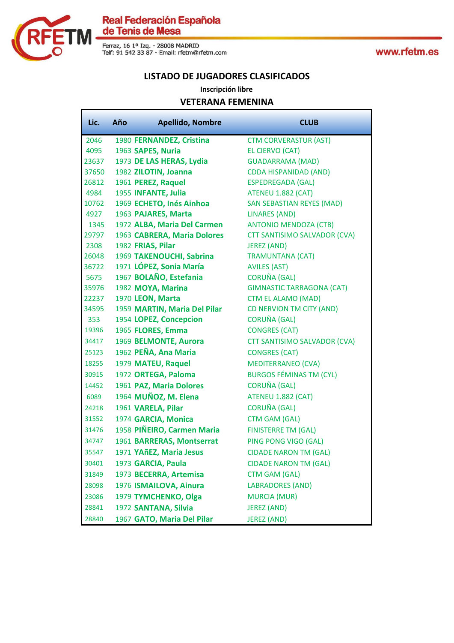

www.rfetm.es

#### **LISTADO DE JUGADORES CLASIFICADOS**

#### **Inscripción libre**

#### **VETERANA FEMENINA**

| Lic.  | Año | <b>Apellido, Nombre</b>      | <b>CLUB</b>                         |
|-------|-----|------------------------------|-------------------------------------|
| 2046  |     | 1980 FERNANDEZ, Cristina     | <b>CTM CORVERASTUR (AST)</b>        |
| 4095  |     | 1963 SAPES, Nuria            | EL CIERVO (CAT)                     |
| 23637 |     | 1973 DE LAS HERAS, Lydia     | <b>GUADARRAMA (MAD)</b>             |
| 37650 |     | 1982 ZILOTIN, Joanna         | <b>CDDA HISPANIDAD (AND)</b>        |
| 26812 |     | 1961 PEREZ, Raquel           | <b>ESPEDREGADA (GAL)</b>            |
| 4984  |     | 1955 INFANTE, Julia          | ATENEU 1.882 (CAT)                  |
| 10762 |     | 1969 ECHETO, Inés Ainhoa     | <b>SAN SEBASTIAN REYES (MAD)</b>    |
| 4927  |     | 1963 PAJARES, Marta          | <b>LINARES (AND)</b>                |
| 1345  |     | 1972 ALBA, Maria Del Carmen  | <b>ANTONIO MENDOZA (CTB)</b>        |
| 29797 |     | 1963 CABRERA, Maria Dolores  | <b>CTT SANTISIMO SALVADOR (CVA)</b> |
| 2308  |     | 1982 FRIAS, Pilar            | <b>JEREZ (AND)</b>                  |
| 26048 |     | 1969 TAKENOUCHI, Sabrina     | <b>TRAMUNTANA (CAT)</b>             |
| 36722 |     | 1971 LÓPEZ, Sonia María      | <b>AVILES (AST)</b>                 |
| 5675  |     | 1967 BOLAÑO, Estefania       | <b>CORUÑA (GAL)</b>                 |
| 35976 |     | 1982 MOYA, Marina            | <b>GIMNASTIC TARRAGONA (CAT)</b>    |
| 22237 |     | 1970 LEON, Marta             | <b>CTM EL ALAMO (MAD)</b>           |
| 34595 |     | 1959 MARTIN, Maria Del Pilar | CD NERVION TM CITY (AND)            |
| 353   |     | 1954 LOPEZ, Concepcion       | <b>CORUÑA (GAL)</b>                 |
| 19396 |     | 1965 FLORES, Emma            | <b>CONGRES (CAT)</b>                |
| 34417 |     | 1969 BELMONTE, Aurora        | CTT SANTISIMO SALVADOR (CVA)        |
| 25123 |     | 1962 PEÑA, Ana Maria         | <b>CONGRES (CAT)</b>                |
| 18255 |     | 1979 MATEU, Raquel           | <b>MEDITERRANEO (CVA)</b>           |
| 30915 |     | 1972 ORTEGA, Paloma          | <b>BURGOS FÉMINAS TM (CYL)</b>      |
| 14452 |     | 1961 PAZ, Maria Dolores      | <b>CORUÑA (GAL)</b>                 |
| 6089  |     | 1964 MUÑOZ, M. Elena         | ATENEU 1.882 (CAT)                  |
| 24218 |     | 1961 VARELA, Pilar           | <b>CORUÑA (GAL)</b>                 |
| 31552 |     | 1974 GARCIA, Monica          | <b>CTM GAM (GAL)</b>                |
| 31476 |     | 1958 PIÑEIRO, Carmen Maria   | <b>FINISTERRE TM (GAL)</b>          |
| 34747 |     | 1961 BARRERAS, Montserrat    | PING PONG VIGO (GAL)                |
| 35547 |     | 1971 YAñEZ, Maria Jesus      | <b>CIDADE NARON TM (GAL)</b>        |
| 30401 |     | 1973 GARCIA, Paula           | <b>CIDADE NARON TM (GAL)</b>        |
| 31849 |     | 1973 BECERRA, Artemisa       | <b>CTM GAM (GAL)</b>                |
| 28098 |     | 1976 ISMAILOVA, Ainura       | <b>LABRADORES (AND)</b>             |
| 23086 |     | 1979 TYMCHENKO, Olga         | <b>MURCIA (MUR)</b>                 |
| 28841 |     | 1972 SANTANA, Silvia         | <b>JEREZ (AND)</b>                  |
| 28840 |     | 1967 GATO, Maria Del Pilar   | <b>JEREZ (AND)</b>                  |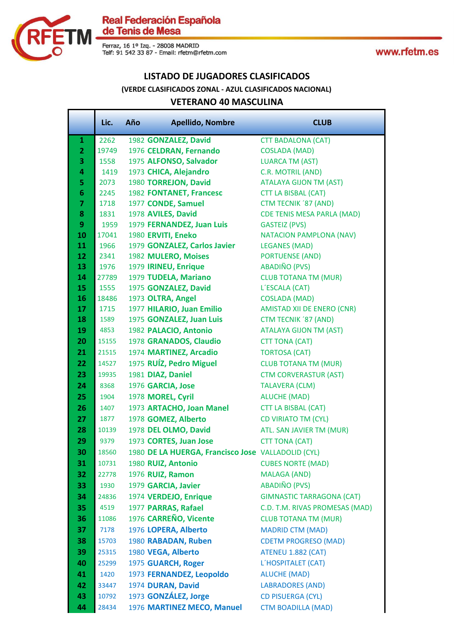

Ferraz, 16 1º Izq. - 28008 MADRID<br>Telf: 91 542 33 87 - Email: rfetm@rfetm.com

www.rfetm.es

#### **LISTADO DE JUGADORES CLASIFICADOS**

#### **(VERDE CLASIFICADOS ZONAL - AZUL CLASIFICADOS NACIONAL)**

#### **VETERANO 40 MASCULINA**

|                         | Lic.          | Año | <b>Apellido, Nombre</b>                            | <b>CLUB</b>                                    |
|-------------------------|---------------|-----|----------------------------------------------------|------------------------------------------------|
| 1                       | 2262          |     | 1982 GONZALEZ, David                               | <b>CTT BADALONA (CAT)</b>                      |
| $\overline{2}$          | 19749         |     | 1976 CELDRAN, Fernando                             | <b>COSLADA (MAD)</b>                           |
| 3                       | 1558          |     | 1975 ALFONSO, Salvador                             | <b>LUARCA TM (AST)</b>                         |
| 4                       | 1419          |     | 1973 CHICA, Alejandro                              | C.R. MOTRIL (AND)                              |
| 5                       | 2073          |     | 1980 TORREJON, David                               | <b>ATALAYA GIJON TM (AST)</b>                  |
| $6\phantom{1}6$         | 2245          |     | 1982 FONTANET, Francesc                            | <b>CTT LA BISBAL (CAT)</b>                     |
| $\overline{\mathbf{z}}$ | 1718          |     | 1977 CONDE, Samuel                                 | <b>CTM TECNIK '87 (AND)</b>                    |
| 8                       | 1831          |     | 1978 AVILES, David                                 | <b>CDE TENIS MESA PARLA (MAD)</b>              |
| 9                       | 1959          |     | 1979 FERNANDEZ, Juan Luis                          | <b>GASTEIZ (PVS)</b>                           |
| 10                      | 17041         |     | 1980 ERVITI, Eneko                                 | <b>NATACION PAMPLONA (NAV)</b>                 |
| 11                      | 1966          |     | 1979 GONZALEZ, Carlos Javier                       | <b>LEGANES (MAD)</b>                           |
| 12                      | 2341          |     | 1982 MULERO, Moises                                | <b>PORTUENSE (AND)</b><br><b>ABADIÑO (PVS)</b> |
| 13<br>14                | 1976          |     | 1979 IRINEU, Enrique                               | <b>CLUB TOTANA TM (MUR)</b>                    |
| 15                      | 27789<br>1555 |     | 1979 TUDELA, Mariano<br>1975 GONZALEZ, David       | L'ESCALA (CAT)                                 |
| 16                      | 18486         |     | 1973 OLTRA, Angel                                  | <b>COSLADA (MAD)</b>                           |
| 17                      | 1715          |     | 1977 HILARIO, Juan Emilio                          | <b>AMISTAD XII DE ENERO (CNR)</b>              |
| 18                      | 1589          |     | 1975 GONZALEZ, Juan Luis                           | CTM TECNIK '87 (AND)                           |
| 19                      | 4853          |     | 1982 PALACIO, Antonio                              | <b>ATALAYA GIJON TM (AST)</b>                  |
| 20                      | 15155         |     | 1978 GRANADOS, Claudio                             | <b>CTT TONA (CAT)</b>                          |
| 21                      | 21515         |     | 1974 MARTINEZ, Arcadio                             | <b>TORTOSA (CAT)</b>                           |
| 22                      | 14527         |     | 1975 RUÍZ, Pedro Miguel                            | <b>CLUB TOTANA TM (MUR)</b>                    |
| 23                      | 19935         |     | 1981 DIAZ, Daniel                                  | <b>CTM CORVERASTUR (AST)</b>                   |
| 24                      | 8368          |     | 1976 GARCIA, Jose                                  | <b>TALAVERA (CLM)</b>                          |
| 25                      | 1904          |     | 1978 MOREL, Cyril                                  | <b>ALUCHE (MAD)</b>                            |
| 26                      | 1407          |     | 1973 ARTACHO, Joan Manel                           | <b>CTT LA BISBAL (CAT)</b>                     |
| 27                      | 1877          |     | 1978 GOMEZ, Alberto                                | <b>CD VIRIATO TM (CYL)</b>                     |
| 28                      | 10139         |     | 1978 DEL OLMO, David                               | ATL. SAN JAVIER TM (MUR)                       |
| 29                      | 9379          |     | 1973 CORTES, Juan Jose                             | <b>CTT TONA (CAT)</b>                          |
| 30                      | 18560         |     | 1980 DE LA HUERGA, Francisco Jose VALLADOLID (CYL) |                                                |
| 31                      | 10731         |     | 1980 RUIZ, Antonio                                 | <b>CUBES NORTE (MAD)</b>                       |
| 32                      | 22778         |     | 1976 RUIZ, Ramon                                   | <b>MALAGA (AND)</b>                            |
| 33                      | 1930          |     | 1979 GARCIA, Javier                                | <b>ABADIÑO (PVS)</b>                           |
| 34                      | 24836         |     | 1974 VERDEJO, Enrique                              | <b>GIMNASTIC TARRAGONA (CAT)</b>               |
| 35                      | 4519          |     | 1977 PARRAS, Rafael                                | C.D. T.M. RIVAS PROMESAS (MAD)                 |
| 36                      | 11086         |     | 1976 CARREÑO, Vicente                              | <b>CLUB TOTANA TM (MUR)</b>                    |
| 37                      | 7178          |     | 1976 LOPERA, Alberto                               | <b>MADRID CTM (MAD)</b>                        |
| 38                      | 15703         |     | 1980 RABADAN, Ruben                                | <b>CDETM PROGRESO (MAD)</b>                    |
| 39                      | 25315         |     | 1980 VEGA, Alberto                                 | <b>ATENEU 1.882 (CAT)</b>                      |
| 40                      | 25299         |     | 1975 GUARCH, Roger                                 | L'HOSPITALET (CAT)                             |
| 41                      | 1420          |     | 1973 FERNANDEZ, Leopoldo                           | <b>ALUCHE (MAD)</b>                            |
| 42                      | 33447         |     | 1974 DURAN, David                                  | <b>LABRADORES (AND)</b>                        |
| 43                      | 10792         |     | 1973 GONZÁLEZ, Jorge                               | <b>CD PISUERGA (CYL)</b>                       |
| 44                      | 28434         |     | 1976 MARTINEZ MECO, Manuel                         | <b>CTM BOADILLA (MAD)</b>                      |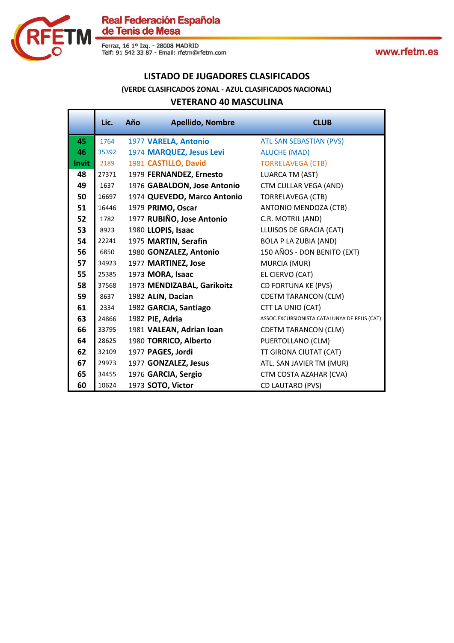

#### **LISTADO DE JUGADORES CLASIFICADOS**

#### **(VERDE CLASIFICADOS ZONAL - AZUL CLASIFICADOS NACIONAL)**

#### **VETERANO 40 MASCULINA**

|              | Lic.  | Año | <b>Apellido, Nombre</b>     | <b>CLUB</b>                                 |
|--------------|-------|-----|-----------------------------|---------------------------------------------|
| 45           | 1764  |     | 1977 VARELA, Antonio        | <b>ATL SAN SEBASTIAN (PVS)</b>              |
| 46           | 35392 |     | 1974 MARQUEZ, Jesus Levi    | <b>ALUCHE (MAD)</b>                         |
| <b>Invit</b> | 2189  |     | 1981 CASTILLO, David        | <b>TORRELAVEGA (CTB)</b>                    |
| 48           | 27371 |     | 1979 FERNANDEZ, Ernesto     | <b>LUARCA TM (AST)</b>                      |
| 49           | 1637  |     | 1976 GABALDON, Jose Antonio | CTM CULLAR VEGA (AND)                       |
| 50           | 16697 |     | 1974 QUEVEDO, Marco Antonio | <b>TORRELAVEGA (CTB)</b>                    |
| 51           | 16446 |     | 1979 PRIMO, Oscar           | ANTONIO MENDOZA (CTB)                       |
| 52           | 1782  |     | 1977 RUBIÑO, Jose Antonio   | C.R. MOTRIL (AND)                           |
| 53           | 8923  |     | 1980 LLOPIS, Isaac          | LLUISOS DE GRACIA (CAT)                     |
| 54           | 22241 |     | 1975 MARTIN, Serafin        | <b>BOLA P LA ZUBIA (AND)</b>                |
| 56           | 6850  |     | 1980 GONZALEZ, Antonio      | 150 AÑOS - DON BENITO (EXT)                 |
| 57           | 34923 |     | 1977 MARTINEZ, Jose         | MURCIA (MUR)                                |
| 55           | 25385 |     | 1973 MORA, Isaac            | EL CIERVO (CAT)                             |
| 58           | 37568 |     | 1973 MENDIZABAL, Garikoitz  | CD FORTUNA KE (PVS)                         |
| 59           | 8637  |     | 1982 ALIN, Dacian           | <b>CDETM TARANCON (CLM)</b>                 |
| 61           | 2334  |     | 1982 GARCIA, Santiago       | CTT LA UNIO (CAT)                           |
| 63           | 24866 |     | 1982 PIE, Adria             | ASSOC.EXCURSIONISTA CATALUNYA DE REUS (CAT) |
| 66           | 33795 |     | 1981 VALEAN, Adrian Ioan    | <b>CDETM TARANCON (CLM)</b>                 |
| 64           | 28625 |     | 1980 TORRICO, Alberto       | PUERTOLLANO (CLM)                           |
| 62           | 32109 |     | 1977 PAGES, Jordi           | TT GIRONA CIUTAT (CAT)                      |
| 67           | 29973 |     | 1977 GONZALEZ, Jesus        | ATL. SAN JAVIER TM (MUR)                    |
| 65           | 34455 |     | 1976 GARCIA, Sergio         | CTM COSTA AZAHAR (CVA)                      |
| 60           | 10624 |     | 1973 SOTO, Victor           | CD LAUTARO (PVS)                            |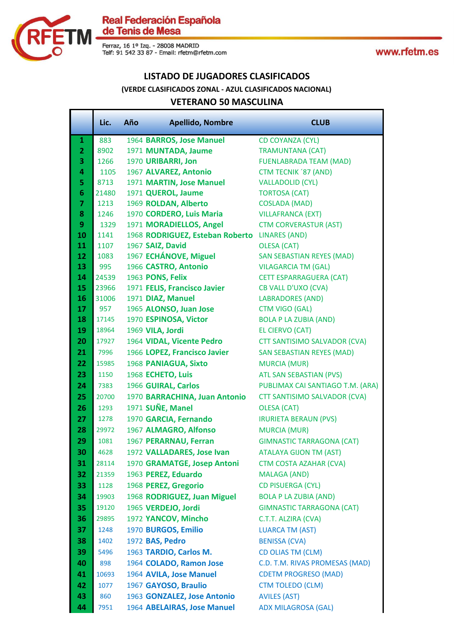

#### **LISTADO DE JUGADORES CLASIFICADOS**

#### **(VERDE CLASIFICADOS ZONAL - AZUL CLASIFICADOS NACIONAL)**

#### **VETERANO 50 MASCULINA**

|                 | Lic.           | Año | <b>Apellido, Nombre</b>                          | <b>CLUB</b>                                                  |
|-----------------|----------------|-----|--------------------------------------------------|--------------------------------------------------------------|
| $\mathbf{1}$    | 883            |     | 1964 BARROS, Jose Manuel                         | <b>CD COYANZA (CYL)</b>                                      |
| $\overline{2}$  | 8902           |     | 1971 MUNTADA, Jaume                              | <b>TRAMUNTANA (CAT)</b>                                      |
| 3               | 1266           |     | 1970 URIBARRI, Jon                               | <b>FUENLABRADA TEAM (MAD)</b>                                |
| 4               | 1105           |     | 1967 ALVAREZ, Antonio                            | CTM TECNIK '87 (AND)                                         |
| 5               | 8713           |     | 1971 MARTIN, Jose Manuel                         | <b>VALLADOLID (CYL)</b>                                      |
| $6\phantom{1}6$ | 21480          |     | 1971 QUEROL, Jaume                               | <b>TORTOSA (CAT)</b>                                         |
| $\overline{7}$  | 1213           |     | 1969 ROLDAN, Alberto                             | <b>COSLADA (MAD)</b>                                         |
| 8               | 1246           |     | 1970 CORDERO, Luis Maria                         | <b>VILLAFRANCA (EXT)</b>                                     |
| 9               | 1329           |     | 1971 MORADIELLOS, Angel                          | <b>CTM CORVERASTUR (AST)</b>                                 |
| 10              | 1141           |     | 1968 RODRIGUEZ, Esteban Roberto LINARES (AND)    |                                                              |
| 11              | 1107           |     | 1967 SAIZ, David                                 | <b>OLESA (CAT)</b>                                           |
| 12 <sub>2</sub> | 1083           |     | 1967 ECHÁNOVE, Miguel                            | <b>SAN SEBASTIAN REYES (MAD)</b>                             |
| 13              | 995            |     | 1966 CASTRO, Antonio                             | <b>VILAGARCIA TM (GAL)</b>                                   |
| 14<br>15        | 24539<br>23966 |     | 1963 PONS, Felix<br>1971 FELIS, Francisco Javier | <b>CETT ESPARRAGUERA (CAT)</b><br><b>CB VALL D'UXO (CVA)</b> |
| 16              | 31006          |     | 1971 DIAZ, Manuel                                | <b>LABRADORES (AND)</b>                                      |
| 17              | 957            |     | 1965 ALONSO, Juan Jose                           | <b>CTM VIGO (GAL)</b>                                        |
| 18              | 17145          |     | 1970 ESPINOSA, Victor                            | <b>BOLA P LA ZUBIA (AND)</b>                                 |
| 19              | 18964          |     | 1969 VILA, Jordi                                 | <b>EL CIERVO (CAT)</b>                                       |
| 20              | 17927          |     | 1964 VIDAL, Vicente Pedro                        | <b>CTT SANTISIMO SALVADOR (CVA)</b>                          |
| 21              | 7996           |     | 1966 LOPEZ, Francisco Javier                     | SAN SEBASTIAN REYES (MAD)                                    |
| 22              | 15985          |     | 1968 PANIAGUA, Sixto                             | <b>MURCIA (MUR)</b>                                          |
| 23              | 1150           |     | 1968 ECHETO, Luis                                | <b>ATL SAN SEBASTIAN (PVS)</b>                               |
| 24              | 7383           |     | 1966 GUIRAL, Carlos                              | PUBLIMAX CAI SANTIAGO T.M. (ARA)                             |
| 25              | 20700          |     | 1970 BARRACHINA, Juan Antonio                    | <b>CTT SANTISIMO SALVADOR (CVA)</b>                          |
| 26              | 1293           |     | 1971 SUÑE, Manel                                 | <b>OLESA (CAT)</b>                                           |
| 27              | 1278           |     | 1970 GARCIA, Fernando                            | <b>IRURIETA BERAUN (PVS)</b>                                 |
| 28              | 29972          |     | 1967 ALMAGRO, Alfonso                            | <b>MURCIA (MUR)</b>                                          |
| 29              | 1081           |     | 1967 PERARNAU, Ferran                            | <b>GIMNASTIC TARRAGONA (CAT)</b>                             |
| 30              | 4628           |     | 1972 VALLADARES, Jose Ivan                       | <b>ATALAYA GIJON TM (AST)</b>                                |
| 31              | 28114          |     | 1970 GRAMATGE, Josep Antoni                      | <b>CTM COSTA AZAHAR (CVA)</b>                                |
| 32              | 21359          |     | 1963 PEREZ, Eduardo                              | <b>MALAGA (AND)</b>                                          |
| 33              | 1128           |     | 1968 PEREZ, Gregorio                             | <b>CD PISUERGA (CYL)</b>                                     |
| 34              | 19903          |     | 1968 RODRIGUEZ, Juan Miguel                      | <b>BOLA P LA ZUBIA (AND)</b>                                 |
| 35              | 19120          |     | 1965 VERDEJO, Jordi                              | <b>GIMNASTIC TARRAGONA (CAT)</b>                             |
| 36              | 29895          |     | 1972 YANCOV, Mincho                              | C.T.T. ALZIRA (CVA)                                          |
| 37              | 1248           |     | 1970 BURGOS, Emilio                              | <b>LUARCA TM (AST)</b>                                       |
| 38              | 1402           |     | 1972 BAS, Pedro                                  | <b>BENISSA (CVA)</b>                                         |
| 39              | 5496           |     | 1963 TARDIO, Carlos M.                           | CD OLIAS TM (CLM)                                            |
| 40              | 898            |     | 1964 COLADO, Ramon Jose                          | C.D. T.M. RIVAS PROMESAS (MAD)                               |
| 41              | 10693          |     | 1964 AVILA, Jose Manuel                          | <b>CDETM PROGRESO (MAD)</b>                                  |
| 42              | 1077           |     | 1967 GAYOSO, Braulio                             | <b>CTM TOLEDO (CLM)</b>                                      |
| 43              |                |     |                                                  |                                                              |
|                 | 860            |     | 1963 GONZALEZ, Jose Antonio                      | <b>AVILES (AST)</b>                                          |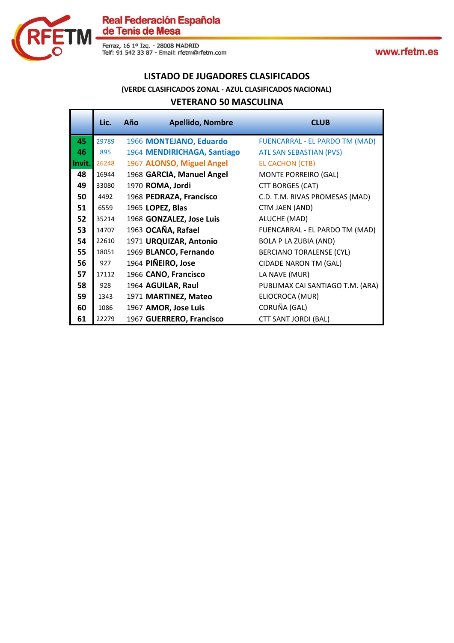

#### **LISTADO DE JUGADORES CLASIFICADOS**

#### **(VERDE CLASIFICADOS ZONAL - AZUL CLASIFICADOS NACIONAL)**

#### **VETERANO 50 MASCULINA**

|        | Lic.  | Año | <b>Apellido, Nombre</b>     | <b>CLUB</b>                      |
|--------|-------|-----|-----------------------------|----------------------------------|
| 45     | 29789 |     | 1966 MONTEJANO, Eduardo     | FUENCARRAL - EL PARDO TM (MAD)   |
| 46     | 895   |     | 1964 MENDIRICHAGA, Santiago | <b>ATL SAN SEBASTIAN (PVS)</b>   |
| Invit. | 26248 |     | 1967 ALONSO, Miguel Angel   | <b>EL CACHON (CTB)</b>           |
| 48     | 16944 |     | 1968 GARCIA, Manuel Angel   | MONTE PORREIRO (GAL)             |
| 49     | 33080 |     | 1970 ROMA, Jordi            | CTT BORGES (CAT)                 |
| 50     | 4492  |     | 1968 PEDRAZA, Francisco     | C.D. T.M. RIVAS PROMESAS (MAD)   |
| 51     | 6559  |     | 1965 LOPEZ, Blas            | CTM JAEN (AND)                   |
| 52     | 35214 |     | 1968 GONZALEZ, Jose Luis    | ALUCHE (MAD)                     |
| 53     | 14707 |     | 1963 OCAÑA, Rafael          | FUENCARRAL - EL PARDO TM (MAD)   |
| 54     | 22610 |     | 1971 URQUIZAR, Antonio      | <b>BOLA P LA ZUBIA (AND)</b>     |
| 55     | 18051 |     | 1969 BLANCO, Fernando       | <b>BERCIANO TORALENSE (CYL)</b>  |
| 56     | 927   |     | 1964 PIÑEIRO, Jose          | <b>CIDADE NARON TM (GAL)</b>     |
| 57     | 17112 |     | 1966 CANO, Francisco        | LA NAVE (MUR)                    |
| 58     | 928   |     | 1964 AGUILAR, Raul          | PUBLIMAX CAI SANTIAGO T.M. (ARA) |
| 59     | 1343  |     | 1971 MARTINEZ, Mateo        | ELIOCROCA (MUR)                  |
| 60     | 1086  |     | 1967 AMOR, Jose Luis        | CORUÑA (GAL)                     |
| 61     | 22279 |     | 1967 GUERRERO, Francisco    | <b>CTT SANT JORDI (BAL)</b>      |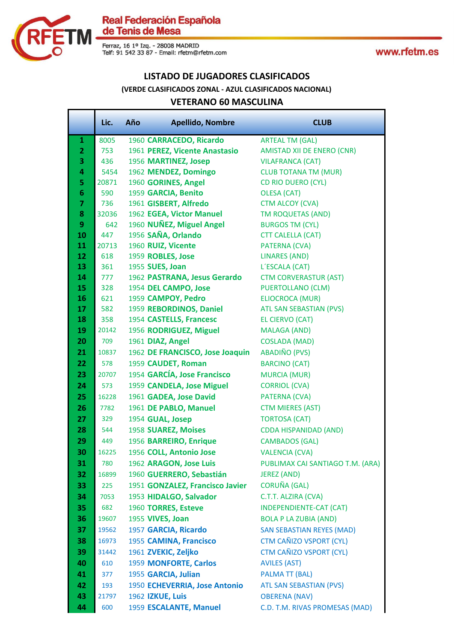

#### **LISTADO DE JUGADORES CLASIFICADOS**

#### **(VERDE CLASIFICADOS ZONAL - AZUL CLASIFICADOS NACIONAL)**

#### **VETERANO 60 MASCULINA**

|                         | Lic.  | Año | <b>Apellido, Nombre</b>                           | <b>CLUB</b>                                  |
|-------------------------|-------|-----|---------------------------------------------------|----------------------------------------------|
| $\mathbf{1}$            | 8005  |     | 1960 CARRACEDO, Ricardo                           | <b>ARTEAL TM (GAL)</b>                       |
| $\overline{2}$          | 753   |     | 1961 PEREZ, Vicente Anastasio                     | <b>AMISTAD XII DE ENERO (CNR)</b>            |
| 3                       | 436   |     | 1956 MARTINEZ, Josep                              | <b>VILAFRANCA (CAT)</b>                      |
| 4                       | 5454  |     | 1962 MENDEZ, Domingo                              | <b>CLUB TOTANA TM (MUR)</b>                  |
| 5                       | 20871 |     | 1960 GORINES, Angel                               | <b>CD RIO DUERO (CYL)</b>                    |
| $6\phantom{1}6$         | 590   |     | 1959 GARCIA, Benito                               | <b>OLESA (CAT)</b>                           |
| $\overline{\mathbf{z}}$ | 736   |     | 1961 GISBERT, Alfredo                             | <b>CTM ALCOY (CVA)</b>                       |
| 8                       | 32036 |     | 1962 EGEA, Victor Manuel                          | <b>TM ROQUETAS (AND)</b>                     |
| 9                       | 642   |     | 1960 NUÑEZ, Miguel Angel                          | <b>BURGOS TM (CYL)</b>                       |
| 10                      | 447   |     | 1956 SAÑA, Orlando                                | <b>CTT CALELLA (CAT)</b>                     |
| 11                      | 20713 |     | 1960 RUIZ, Vicente                                | PATERNA (CVA)                                |
| 12                      | 618   |     | 1959 ROBLES, Jose                                 | LINARES (AND)                                |
| 13                      | 361   |     | 1955 SUES, Joan                                   | L'ESCALA (CAT)                               |
| 14                      | 777   |     | 1962 PASTRANA, Jesus Gerardo                      | <b>CTM CORVERASTUR (AST)</b>                 |
| 15                      | 328   |     | 1954 DEL CAMPO, Jose                              | <b>PUERTOLLANO (CLM)</b>                     |
| 16                      | 621   |     | 1959 CAMPOY, Pedro                                | ELIOCROCA (MUR)                              |
| 17                      | 582   |     | 1959 REBORDINOS, Daniel                           | ATL SAN SEBASTIAN (PVS)                      |
| 18<br>19                | 358   |     | 1954 CASTELLS, Francesc<br>1956 RODRIGUEZ, Miguel | EL CIERVO (CAT)                              |
|                         | 20142 |     |                                                   | <b>MALAGA (AND)</b>                          |
| 20                      | 709   |     | 1961 DIAZ, Angel                                  | <b>COSLADA (MAD)</b><br><b>ABADIÑO (PVS)</b> |
| 21                      | 10837 |     | 1962 DE FRANCISCO, Jose Joaquin                   |                                              |
| 22                      | 578   |     | 1959 CAUDET, Roman                                | <b>BARCINO (CAT)</b>                         |
| 23                      | 20707 |     | 1954 GARCÍA, Jose Francisco                       | <b>MURCIA (MUR)</b>                          |
| 24                      | 573   |     | 1959 CANDELA, Jose Miguel                         | <b>CORRIOL (CVA)</b>                         |
| 25                      | 16228 |     | 1961 GADEA, Jose David                            | PATERNA (CVA)                                |
| 26                      | 7782  |     | 1961 DE PABLO, Manuel                             | <b>CTM MIERES (AST)</b>                      |
| 27                      | 329   |     | 1954 GUAL, Josep                                  | <b>TORTOSA (CAT)</b>                         |
| 28                      | 544   |     | 1958 SUAREZ, Moises                               | <b>CDDA HISPANIDAD (AND)</b>                 |
| 29                      | 449   |     | 1956 BARREIRO, Enrique                            | <b>CAMBADOS (GAL)</b>                        |
| 30                      | 16225 |     | 1956 COLL, Antonio Jose                           | <b>VALENCIA (CVA)</b>                        |
| 31                      | 780   |     | 1962 ARAGON, Jose Luis                            | PUBLIMAX CAI SANTIAGO T.M. (ARA)             |
| 32                      | 16899 |     | 1960 GUERRERO, Sebastián                          | <b>JEREZ (AND)</b>                           |
| 33                      | 225   |     | 1951 GONZALEZ, Francisco Javier                   | <b>CORUÑA (GAL)</b>                          |
| 34                      | 7053  |     | 1953 HIDALGO, Salvador                            | C.T.T. ALZIRA (CVA)                          |
| 35                      | 682   |     | 1960 TORRES, Esteve                               | <b>INDEPENDIENTE-CAT (CAT)</b>               |
| 36                      | 19607 |     | 1955 VIVES, Joan                                  | <b>BOLA P LA ZUBIA (AND)</b>                 |
| 37                      | 19562 |     | 1957 GARCIA, Ricardo                              | <b>SAN SEBASTIAN REYES (MAD)</b>             |
| 38                      | 16973 |     | 1955 CAMINA, Francisco                            | CTM CAÑIZO VSPORT (CYL)                      |
| 39                      | 31442 |     | 1961 ZVEKIC, Zeljko                               | CTM CAÑIZO VSPORT (CYL)                      |
| 40                      | 610   |     | 1959 MONFORTE, Carlos                             | <b>AVILES (AST)</b>                          |
| 41                      | 377   |     | 1955 GARCIA, Julian                               | <b>PALMA TT (BAL)</b>                        |
| 42                      | 193   |     | 1950 ECHEVERRIA, Jose Antonio                     | <b>ATL SAN SEBASTIAN (PVS)</b>               |
| 43                      | 21797 |     | 1962 IZKUE, Luis                                  | <b>OBERENA (NAV)</b>                         |
| 44                      | 600   |     | 1959 ESCALANTE, Manuel                            | C.D. T.M. RIVAS PROMESAS (MAD)               |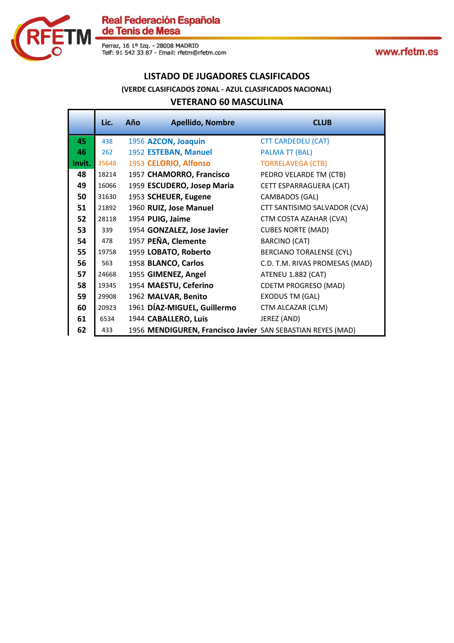

Ferraz, 16 1º Izq. - 28008 MADRID<br>Telf: 91 542 33 87 - Email: rfetm@rfetm.com

www.rfetm.es

#### **LISTADO DE JUGADORES CLASIFICADOS**

#### **(VERDE CLASIFICADOS ZONAL - AZUL CLASIFICADOS NACIONAL)**

#### **VETERANO 60 MASCULINA**

|        | Lic.  | Año | <b>Apellido, Nombre</b>                                     | <b>CLUB</b>                     |
|--------|-------|-----|-------------------------------------------------------------|---------------------------------|
| 45     | 438   |     | 1956 AZCON, Joaquin                                         | <b>CTT CARDEDEU (CAT)</b>       |
| 46     | 262   |     | 1952 ESTEBAN, Manuel                                        | <b>PALMA TT (BAL)</b>           |
| Invit. | 35648 |     | 1953 CELORIO, Alfonso                                       | <b>TORRELAVEGA (CTB)</b>        |
| 48     | 18214 |     | 1957 CHAMORRO, Francisco                                    | PEDRO VELARDE TM (CTB)          |
| 49     | 16066 |     | 1959 ESCUDERO, Josep Maria                                  | CETT ESPARRAGUERA (CAT)         |
| 50     | 31630 |     | 1953 SCHEUER, Eugene                                        | CAMBADOS (GAL)                  |
| 51     | 21892 |     | 1960 RUIZ, Jose Manuel                                      | CTT SANTISIMO SALVADOR (CVA)    |
| 52     | 28118 |     | 1954 PUIG, Jaime                                            | CTM COSTA AZAHAR (CVA)          |
| 53     | 339   |     | 1954 GONZALEZ, Jose Javier                                  | <b>CUBES NORTE (MAD)</b>        |
| 54     | 478   |     | 1957 PEÑA, Clemente                                         | <b>BARCINO (CAT)</b>            |
| 55     | 19758 |     | 1959 LOBATO, Roberto                                        | <b>BERCIANO TORALENSE (CYL)</b> |
| 56     | 563   |     | 1958 BLANCO, Carlos                                         | C.D. T.M. RIVAS PROMESAS (MAD)  |
| 57     | 24668 |     | 1955 GIMENEZ, Angel                                         | ATENEU 1.882 (CAT)              |
| 58     | 19345 |     | 1954 MAESTU, Ceferino                                       | <b>CDETM PROGRESO (MAD)</b>     |
| 59     | 29908 |     | 1962 MALVAR, Benito                                         | <b>EXODUS TM (GAL)</b>          |
| 60     | 20923 |     | 1961 DÍAZ-MIGUEL, Guillermo                                 | CTM ALCAZAR (CLM)               |
| 61     | 6534  |     | 1944 CABALLERO, Luis                                        | JEREZ (AND)                     |
| 62     | 433   |     | 1956 MENDIGUREN, Francisco Javier SAN SEBASTIAN REYES (MAD) |                                 |